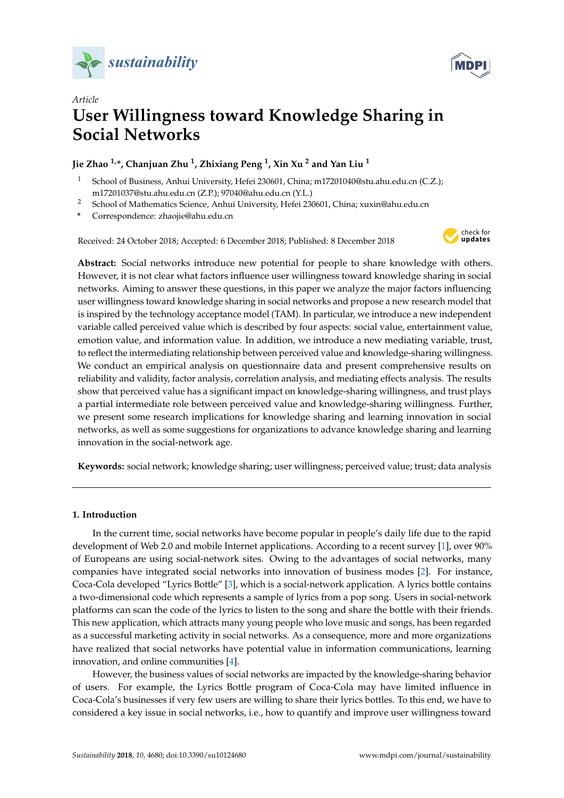



# *Article* **User Willingness toward Knowledge Sharing in Social Networks**

# **Jie Zhao 1,\*, Chanjuan Zhu <sup>1</sup> , Zhixiang Peng <sup>1</sup> , Xin Xu <sup>2</sup> and Yan Liu <sup>1</sup>**

- <sup>1</sup> School of Business, Anhui University, Hefei 230601, China; m17201040@stu.ahu.edu.cn (C.Z.); m17201037@stu.ahu.edu.cn (Z.P.); 97040@ahu.edu.cn (Y.L.)
- <sup>2</sup> School of Mathematics Science, Anhui University, Hefei 230601, China; xuxin@ahu.edu.cn
- **\*** Correspondence: zhaojie@ahu.edu.cn

Received: 24 October 2018; Accepted: 6 December 2018; Published: 8 December 2018



**Abstract:** Social networks introduce new potential for people to share knowledge with others. However, it is not clear what factors influence user willingness toward knowledge sharing in social networks. Aiming to answer these questions, in this paper we analyze the major factors influencing user willingness toward knowledge sharing in social networks and propose a new research model that is inspired by the technology acceptance model (TAM). In particular, we introduce a new independent variable called perceived value which is described by four aspects: social value, entertainment value, emotion value, and information value. In addition, we introduce a new mediating variable, trust, to reflect the intermediating relationship between perceived value and knowledge-sharing willingness. We conduct an empirical analysis on questionnaire data and present comprehensive results on reliability and validity, factor analysis, correlation analysis, and mediating effects analysis. The results show that perceived value has a significant impact on knowledge-sharing willingness, and trust plays a partial intermediate role between perceived value and knowledge-sharing willingness. Further, we present some research implications for knowledge sharing and learning innovation in social networks, as well as some suggestions for organizations to advance knowledge sharing and learning innovation in the social-network age.

**Keywords:** social network; knowledge sharing; user willingness; perceived value; trust; data analysis

# **1. Introduction**

In the current time, social networks have become popular in people's daily life due to the rapid development of Web 2.0 and mobile Internet applications. According to a recent survey [\[1\]](#page-24-0), over 90% of Europeans are using social-network sites. Owing to the advantages of social networks, many companies have integrated social networks into innovation of business modes [\[2\]](#page-24-1). For instance, Coca-Cola developed "Lyrics Bottle" [\[3\]](#page-24-2), which is a social-network application. A lyrics bottle contains a two-dimensional code which represents a sample of lyrics from a pop song. Users in social-network platforms can scan the code of the lyrics to listen to the song and share the bottle with their friends. This new application, which attracts many young people who love music and songs, has been regarded as a successful marketing activity in social networks. As a consequence, more and more organizations have realized that social networks have potential value in information communications, learning innovation, and online communities [\[4\]](#page-24-3).

However, the business values of social networks are impacted by the knowledge-sharing behavior of users. For example, the Lyrics Bottle program of Coca-Cola may have limited influence in Coca-Cola's businesses if very few users are willing to share their lyrics bottles. To this end, we have to considered a key issue in social networks, i.e., how to quantify and improve user willingness toward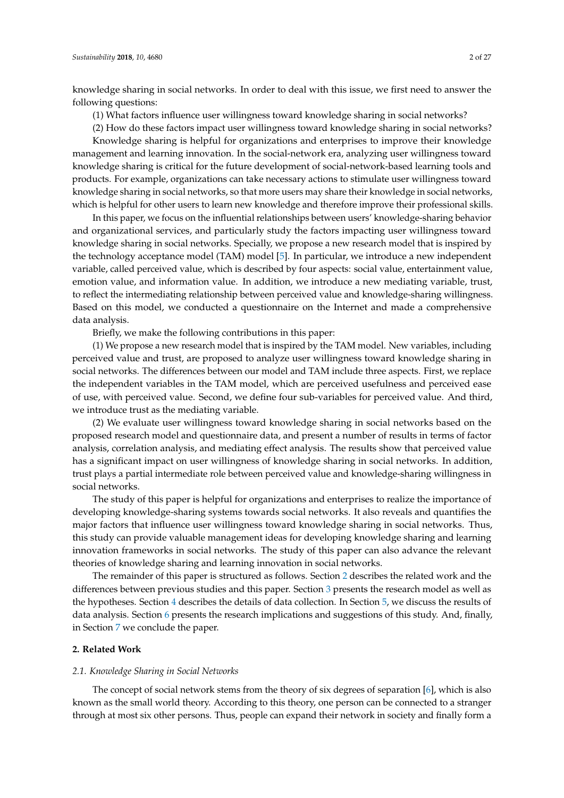knowledge sharing in social networks. In order to deal with this issue, we first need to answer the following questions:

(1) What factors influence user willingness toward knowledge sharing in social networks?

(2) How do these factors impact user willingness toward knowledge sharing in social networks?

Knowledge sharing is helpful for organizations and enterprises to improve their knowledge management and learning innovation. In the social-network era, analyzing user willingness toward knowledge sharing is critical for the future development of social-network-based learning tools and products. For example, organizations can take necessary actions to stimulate user willingness toward knowledge sharing in social networks, so that more users may share their knowledge in social networks, which is helpful for other users to learn new knowledge and therefore improve their professional skills.

In this paper, we focus on the influential relationships between users' knowledge-sharing behavior and organizational services, and particularly study the factors impacting user willingness toward knowledge sharing in social networks. Specially, we propose a new research model that is inspired by the technology acceptance model (TAM) model [\[5\]](#page-24-4). In particular, we introduce a new independent variable, called perceived value, which is described by four aspects: social value, entertainment value, emotion value, and information value. In addition, we introduce a new mediating variable, trust, to reflect the intermediating relationship between perceived value and knowledge-sharing willingness. Based on this model, we conducted a questionnaire on the Internet and made a comprehensive data analysis.

Briefly, we make the following contributions in this paper:

(1) We propose a new research model that is inspired by the TAM model. New variables, including perceived value and trust, are proposed to analyze user willingness toward knowledge sharing in social networks. The differences between our model and TAM include three aspects. First, we replace the independent variables in the TAM model, which are perceived usefulness and perceived ease of use, with perceived value. Second, we define four sub-variables for perceived value. And third, we introduce trust as the mediating variable.

(2) We evaluate user willingness toward knowledge sharing in social networks based on the proposed research model and questionnaire data, and present a number of results in terms of factor analysis, correlation analysis, and mediating effect analysis. The results show that perceived value has a significant impact on user willingness of knowledge sharing in social networks. In addition, trust plays a partial intermediate role between perceived value and knowledge-sharing willingness in social networks.

The study of this paper is helpful for organizations and enterprises to realize the importance of developing knowledge-sharing systems towards social networks. It also reveals and quantifies the major factors that influence user willingness toward knowledge sharing in social networks. Thus, this study can provide valuable management ideas for developing knowledge sharing and learning innovation frameworks in social networks. The study of this paper can also advance the relevant theories of knowledge sharing and learning innovation in social networks.

The remainder of this paper is structured as follows. Section [2](#page-1-0) describes the related work and the differences between previous studies and this paper. Section [3](#page-5-0) presents the research model as well as the hypotheses. Section [4](#page-8-0) describes the details of data collection. In Section [5,](#page-12-0) we discuss the results of data analysis. Section [6](#page-21-0) presents the research implications and suggestions of this study. And, finally, in Section [7](#page-23-0) we conclude the paper.

# <span id="page-1-0"></span>**2. Related Work**

#### *2.1. Knowledge Sharing in Social Networks*

The concept of social network stems from the theory of six degrees of separation [\[6\]](#page-24-5), which is also known as the small world theory. According to this theory, one person can be connected to a stranger through at most six other persons. Thus, people can expand their network in society and finally form a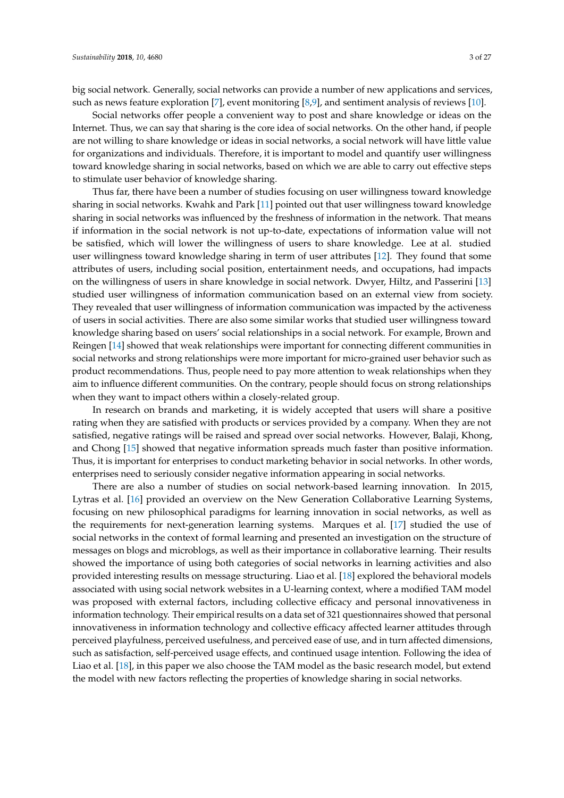big social network. Generally, social networks can provide a number of new applications and services, such as news feature exploration [\[7\]](#page-24-6), event monitoring [\[8,](#page-24-7)[9\]](#page-24-8), and sentiment analysis of reviews [\[10\]](#page-24-9).

Social networks offer people a convenient way to post and share knowledge or ideas on the Internet. Thus, we can say that sharing is the core idea of social networks. On the other hand, if people are not willing to share knowledge or ideas in social networks, a social network will have little value for organizations and individuals. Therefore, it is important to model and quantify user willingness toward knowledge sharing in social networks, based on which we are able to carry out effective steps to stimulate user behavior of knowledge sharing.

Thus far, there have been a number of studies focusing on user willingness toward knowledge sharing in social networks. Kwahk and Park [\[11\]](#page-24-10) pointed out that user willingness toward knowledge sharing in social networks was influenced by the freshness of information in the network. That means if information in the social network is not up-to-date, expectations of information value will not be satisfied, which will lower the willingness of users to share knowledge. Lee at al. studied user willingness toward knowledge sharing in term of user attributes [\[12\]](#page-24-11). They found that some attributes of users, including social position, entertainment needs, and occupations, had impacts on the willingness of users in share knowledge in social network. Dwyer, Hiltz, and Passerini [\[13\]](#page-24-12) studied user willingness of information communication based on an external view from society. They revealed that user willingness of information communication was impacted by the activeness of users in social activities. There are also some similar works that studied user willingness toward knowledge sharing based on users' social relationships in a social network. For example, Brown and Reingen [\[14\]](#page-24-13) showed that weak relationships were important for connecting different communities in social networks and strong relationships were more important for micro-grained user behavior such as product recommendations. Thus, people need to pay more attention to weak relationships when they aim to influence different communities. On the contrary, people should focus on strong relationships when they want to impact others within a closely-related group.

In research on brands and marketing, it is widely accepted that users will share a positive rating when they are satisfied with products or services provided by a company. When they are not satisfied, negative ratings will be raised and spread over social networks. However, Balaji, Khong, and Chong [\[15\]](#page-25-0) showed that negative information spreads much faster than positive information. Thus, it is important for enterprises to conduct marketing behavior in social networks. In other words, enterprises need to seriously consider negative information appearing in social networks.

There are also a number of studies on social network-based learning innovation. In 2015, Lytras et al. [\[16\]](#page-25-1) provided an overview on the New Generation Collaborative Learning Systems, focusing on new philosophical paradigms for learning innovation in social networks, as well as the requirements for next-generation learning systems. Marques et al. [\[17\]](#page-25-2) studied the use of social networks in the context of formal learning and presented an investigation on the structure of messages on blogs and microblogs, as well as their importance in collaborative learning. Their results showed the importance of using both categories of social networks in learning activities and also provided interesting results on message structuring. Liao et al. [\[18\]](#page-25-3) explored the behavioral models associated with using social network websites in a U-learning context, where a modified TAM model was proposed with external factors, including collective efficacy and personal innovativeness in information technology. Their empirical results on a data set of 321 questionnaires showed that personal innovativeness in information technology and collective efficacy affected learner attitudes through perceived playfulness, perceived usefulness, and perceived ease of use, and in turn affected dimensions, such as satisfaction, self-perceived usage effects, and continued usage intention. Following the idea of Liao et al. [\[18\]](#page-25-3), in this paper we also choose the TAM model as the basic research model, but extend the model with new factors reflecting the properties of knowledge sharing in social networks.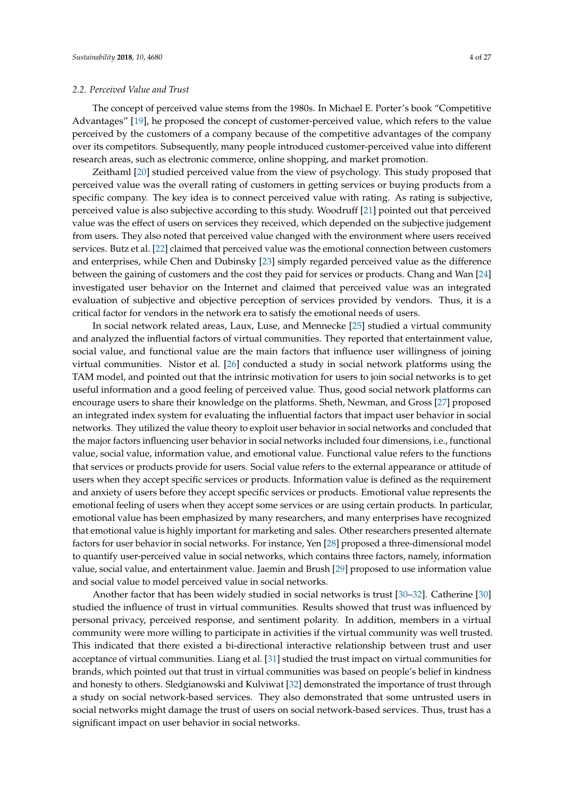The concept of perceived value stems from the 1980s. In Michael E. Porter's book "Competitive Advantages" [\[19\]](#page-25-4), he proposed the concept of customer-perceived value, which refers to the value perceived by the customers of a company because of the competitive advantages of the company over its competitors. Subsequently, many people introduced customer-perceived value into different research areas, such as electronic commerce, online shopping, and market promotion.

Zeithaml [\[20\]](#page-25-5) studied perceived value from the view of psychology. This study proposed that perceived value was the overall rating of customers in getting services or buying products from a specific company. The key idea is to connect perceived value with rating. As rating is subjective, perceived value is also subjective according to this study. Woodruff [\[21\]](#page-25-6) pointed out that perceived value was the effect of users on services they received, which depended on the subjective judgement from users. They also noted that perceived value changed with the environment where users received services. Butz et al. [\[22\]](#page-25-7) claimed that perceived value was the emotional connection between customers and enterprises, while Chen and Dubinsky [\[23\]](#page-25-8) simply regarded perceived value as the difference between the gaining of customers and the cost they paid for services or products. Chang and Wan [\[24\]](#page-25-9) investigated user behavior on the Internet and claimed that perceived value was an integrated evaluation of subjective and objective perception of services provided by vendors. Thus, it is a critical factor for vendors in the network era to satisfy the emotional needs of users.

In social network related areas, Laux, Luse, and Mennecke [\[25\]](#page-25-10) studied a virtual community and analyzed the influential factors of virtual communities. They reported that entertainment value, social value, and functional value are the main factors that influence user willingness of joining virtual communities. Nistor et al. [\[26\]](#page-25-11) conducted a study in social network platforms using the TAM model, and pointed out that the intrinsic motivation for users to join social networks is to get useful information and a good feeling of perceived value. Thus, good social network platforms can encourage users to share their knowledge on the platforms. Sheth, Newman, and Gross [\[27\]](#page-25-12) proposed an integrated index system for evaluating the influential factors that impact user behavior in social networks. They utilized the value theory to exploit user behavior in social networks and concluded that the major factors influencing user behavior in social networks included four dimensions, i.e., functional value, social value, information value, and emotional value. Functional value refers to the functions that services or products provide for users. Social value refers to the external appearance or attitude of users when they accept specific services or products. Information value is defined as the requirement and anxiety of users before they accept specific services or products. Emotional value represents the emotional feeling of users when they accept some services or are using certain products. In particular, emotional value has been emphasized by many researchers, and many enterprises have recognized that emotional value is highly important for marketing and sales. Other researchers presented alternate factors for user behavior in social networks. For instance, Yen [\[28\]](#page-25-13) proposed a three-dimensional model to quantify user-perceived value in social networks, which contains three factors, namely, information value, social value, and entertainment value. Jaemin and Brush [\[29\]](#page-25-14) proposed to use information value and social value to model perceived value in social networks.

Another factor that has been widely studied in social networks is trust [\[30–](#page-25-15)[32\]](#page-25-16). Catherine [\[30\]](#page-25-15) studied the influence of trust in virtual communities. Results showed that trust was influenced by personal privacy, perceived response, and sentiment polarity. In addition, members in a virtual community were more willing to participate in activities if the virtual community was well trusted. This indicated that there existed a bi-directional interactive relationship between trust and user acceptance of virtual communities. Liang et al. [\[31\]](#page-25-17) studied the trust impact on virtual communities for brands, which pointed out that trust in virtual communities was based on people's belief in kindness and honesty to others. Sledgianowski and Kulviwat [\[32\]](#page-25-16) demonstrated the importance of trust through a study on social network-based services. They also demonstrated that some untrusted users in social networks might damage the trust of users on social network-based services. Thus, trust has a significant impact on user behavior in social networks.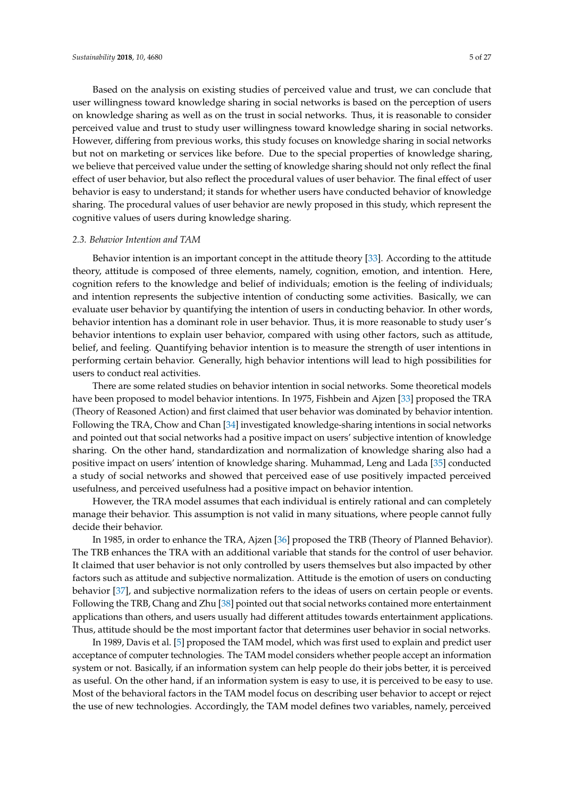Based on the analysis on existing studies of perceived value and trust, we can conclude that user willingness toward knowledge sharing in social networks is based on the perception of users on knowledge sharing as well as on the trust in social networks. Thus, it is reasonable to consider perceived value and trust to study user willingness toward knowledge sharing in social networks. However, differing from previous works, this study focuses on knowledge sharing in social networks but not on marketing or services like before. Due to the special properties of knowledge sharing, we believe that perceived value under the setting of knowledge sharing should not only reflect the final effect of user behavior, but also reflect the procedural values of user behavior. The final effect of user behavior is easy to understand; it stands for whether users have conducted behavior of knowledge sharing. The procedural values of user behavior are newly proposed in this study, which represent the cognitive values of users during knowledge sharing.

# *2.3. Behavior Intention and TAM*

Behavior intention is an important concept in the attitude theory [\[33\]](#page-25-18). According to the attitude theory, attitude is composed of three elements, namely, cognition, emotion, and intention. Here, cognition refers to the knowledge and belief of individuals; emotion is the feeling of individuals; and intention represents the subjective intention of conducting some activities. Basically, we can evaluate user behavior by quantifying the intention of users in conducting behavior. In other words, behavior intention has a dominant role in user behavior. Thus, it is more reasonable to study user's behavior intentions to explain user behavior, compared with using other factors, such as attitude, belief, and feeling. Quantifying behavior intention is to measure the strength of user intentions in performing certain behavior. Generally, high behavior intentions will lead to high possibilities for users to conduct real activities.

There are some related studies on behavior intention in social networks. Some theoretical models have been proposed to model behavior intentions. In 1975, Fishbein and Ajzen [\[33\]](#page-25-18) proposed the TRA (Theory of Reasoned Action) and first claimed that user behavior was dominated by behavior intention. Following the TRA, Chow and Chan [\[34\]](#page-25-19) investigated knowledge-sharing intentions in social networks and pointed out that social networks had a positive impact on users' subjective intention of knowledge sharing. On the other hand, standardization and normalization of knowledge sharing also had a positive impact on users' intention of knowledge sharing. Muhammad, Leng and Lada [\[35\]](#page-25-20) conducted a study of social networks and showed that perceived ease of use positively impacted perceived usefulness, and perceived usefulness had a positive impact on behavior intention.

However, the TRA model assumes that each individual is entirely rational and can completely manage their behavior. This assumption is not valid in many situations, where people cannot fully decide their behavior.

In 1985, in order to enhance the TRA, Ajzen [\[36\]](#page-25-21) proposed the TRB (Theory of Planned Behavior). The TRB enhances the TRA with an additional variable that stands for the control of user behavior. It claimed that user behavior is not only controlled by users themselves but also impacted by other factors such as attitude and subjective normalization. Attitude is the emotion of users on conducting behavior [\[37\]](#page-26-0), and subjective normalization refers to the ideas of users on certain people or events. Following the TRB, Chang and Zhu [\[38\]](#page-26-1) pointed out that social networks contained more entertainment applications than others, and users usually had different attitudes towards entertainment applications. Thus, attitude should be the most important factor that determines user behavior in social networks.

In 1989, Davis et al. [\[5\]](#page-24-4) proposed the TAM model, which was first used to explain and predict user acceptance of computer technologies. The TAM model considers whether people accept an information system or not. Basically, if an information system can help people do their jobs better, it is perceived as useful. On the other hand, if an information system is easy to use, it is perceived to be easy to use. Most of the behavioral factors in the TAM model focus on describing user behavior to accept or reject the use of new technologies. Accordingly, the TAM model defines two variables, namely, perceived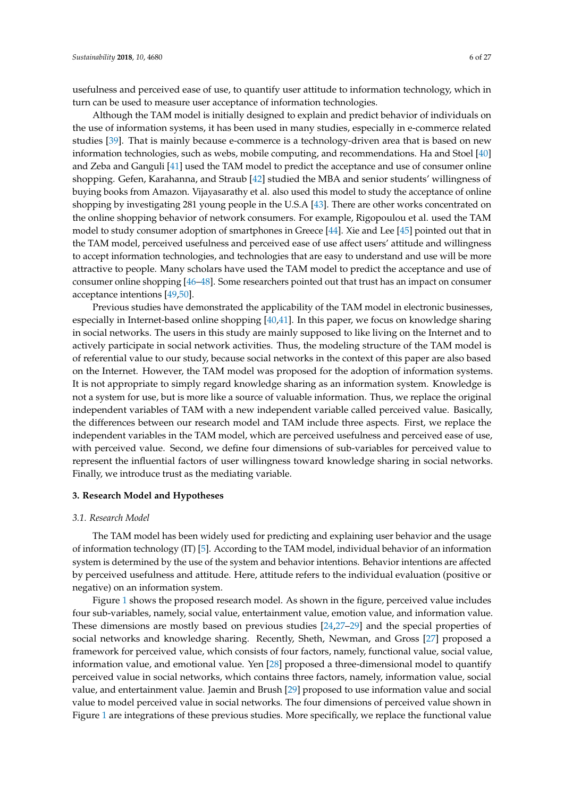usefulness and perceived ease of use, to quantify user attitude to information technology, which in turn can be used to measure user acceptance of information technologies.

Although the TAM model is initially designed to explain and predict behavior of individuals on the use of information systems, it has been used in many studies, especially in e-commerce related studies [\[39\]](#page-26-2). That is mainly because e-commerce is a technology-driven area that is based on new information technologies, such as webs, mobile computing, and recommendations. Ha and Stoel [\[40\]](#page-26-3) and Zeba and Ganguli [\[41\]](#page-26-4) used the TAM model to predict the acceptance and use of consumer online shopping. Gefen, Karahanna, and Straub [\[42\]](#page-26-5) studied the MBA and senior students' willingness of buying books from Amazon. Vijayasarathy et al. also used this model to study the acceptance of online shopping by investigating 281 young people in the U.S.A [\[43\]](#page-26-6). There are other works concentrated on the online shopping behavior of network consumers. For example, Rigopoulou et al. used the TAM model to study consumer adoption of smartphones in Greece [\[44\]](#page-26-7). Xie and Lee [\[45\]](#page-26-8) pointed out that in the TAM model, perceived usefulness and perceived ease of use affect users' attitude and willingness to accept information technologies, and technologies that are easy to understand and use will be more attractive to people. Many scholars have used the TAM model to predict the acceptance and use of consumer online shopping [\[46–](#page-26-9)[48\]](#page-26-10). Some researchers pointed out that trust has an impact on consumer acceptance intentions [\[49,](#page-26-11)[50\]](#page-26-12).

Previous studies have demonstrated the applicability of the TAM model in electronic businesses, especially in Internet-based online shopping [\[40](#page-26-3)[,41\]](#page-26-4). In this paper, we focus on knowledge sharing in social networks. The users in this study are mainly supposed to like living on the Internet and to actively participate in social network activities. Thus, the modeling structure of the TAM model is of referential value to our study, because social networks in the context of this paper are also based on the Internet. However, the TAM model was proposed for the adoption of information systems. It is not appropriate to simply regard knowledge sharing as an information system. Knowledge is not a system for use, but is more like a source of valuable information. Thus, we replace the original independent variables of TAM with a new independent variable called perceived value. Basically, the differences between our research model and TAM include three aspects. First, we replace the independent variables in the TAM model, which are perceived usefulness and perceived ease of use, with perceived value. Second, we define four dimensions of sub-variables for perceived value to represent the influential factors of user willingness toward knowledge sharing in social networks. Finally, we introduce trust as the mediating variable.

#### <span id="page-5-0"></span>**3. Research Model and Hypotheses**

#### <span id="page-5-1"></span>*3.1. Research Model*

The TAM model has been widely used for predicting and explaining user behavior and the usage of information technology (IT) [\[5\]](#page-24-4). According to the TAM model, individual behavior of an information system is determined by the use of the system and behavior intentions. Behavior intentions are affected by perceived usefulness and attitude. Here, attitude refers to the individual evaluation (positive or negative) on an information system.

Figure [1](#page-6-0) shows the proposed research model. As shown in the figure, perceived value includes four sub-variables, namely, social value, entertainment value, emotion value, and information value. These dimensions are mostly based on previous studies [\[24](#page-25-9)[,27](#page-25-12)[–29\]](#page-25-14) and the special properties of social networks and knowledge sharing. Recently, Sheth, Newman, and Gross [\[27\]](#page-25-12) proposed a framework for perceived value, which consists of four factors, namely, functional value, social value, information value, and emotional value. Yen [\[28\]](#page-25-13) proposed a three-dimensional model to quantify perceived value in social networks, which contains three factors, namely, information value, social value, and entertainment value. Jaemin and Brush [\[29\]](#page-25-14) proposed to use information value and social value to model perceived value in social networks. The four dimensions of perceived value shown in Figure [1](#page-6-0) are integrations of these previous studies. More specifically, we replace the functional value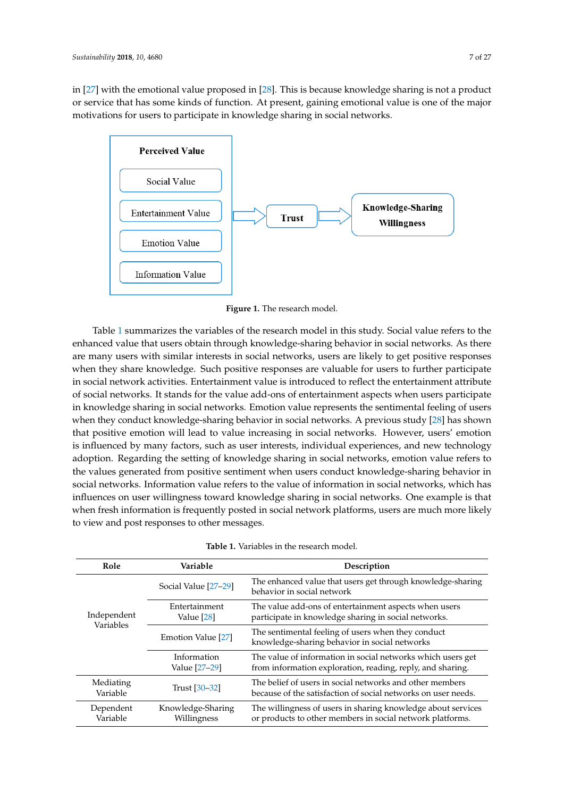in [\[27\]](#page-25-12) with the emotional value proposed in [\[28\]](#page-25-13). This is because knowledge sharing is not a product or service that has some kinds of function. At present, gaining emotional value is one of the major motivations for users to participate in knowledge sharing in social networks.

<span id="page-6-0"></span>

**Figure 1.** The research model. **Figure 1.** The research model.

Table [1](#page-6-1) summarizes the variables of the research model in this study. Social value refers to the Table 1 summarizes the variables of the research model in this study. Social value refers to the enhanced value that users obtain through knowledge-sharing behavior in social networks. As there enhanced value that users obtain through knowledge-sharing behavior in social networks. As there are many users with similar interests in social networks, users are likely to get positive responses are many users with similar interests in social networks, users are likely to get positive responses when they share knowledge. Such positive responses are valuable for users to further participate in social network activities. Entertainment value is introduced to reflect the entertainment attribute of social networks. It stands for the value add-ons of entertainment aspects when users participate knowledge sharing in social networks. Emotion value represents the sentimental feeling of users in knowledge sharing in social networks. Emotion value represents the sentimental feeling of users when they conduct knowledge-sharing behavior in social networks. A previous study [28] has shown when they conduct knowledge-sharing behavior in social networks. A previous study [\[28\]](#page-25-13) has shown that positive emotion will lead to value increasing in social networks. However, users' emotion is influenced by many factors, such as user interests, individual experiences, and new technology adoption. Regarding the setting of knowledge sharing in social networks, emotion value refers to the values generated from positive sentiment when users conduct knowledge-sharing behavior in social networks. Information value refers to the value of information in social networks, which has influences on user willingness toward knowledge sharing in social networks. One example is that when fresh information is frequently posted in social network platforms, users are much more likely view and post responses to other messages. to view and post responses to other messages.

<span id="page-6-1"></span>

| Role                     | Variable                         | Description                                                                                                               |  |  |
|--------------------------|----------------------------------|---------------------------------------------------------------------------------------------------------------------------|--|--|
|                          | Social Value [27-29]             | The enhanced value that users get through knowledge-sharing<br>behavior in social network                                 |  |  |
| Independent<br>Variables | Entertainment<br>Value $[28]$    | The value add-ons of entertainment aspects when users<br>participate in knowledge sharing in social networks.             |  |  |
|                          | Emotion Value [27]               | The sentimental feeling of users when they conduct<br>knowledge-sharing behavior in social networks                       |  |  |
|                          | Information<br>Value [27-29]     | The value of information in social networks which users get<br>from information exploration, reading, reply, and sharing. |  |  |
| Mediating<br>Variable    | Trust [30–32]                    | The belief of users in social networks and other members<br>because of the satisfaction of social networks on user needs. |  |  |
| Dependent<br>Variable    | Knowledge-Sharing<br>Willingness | The willingness of users in sharing knowledge about services<br>or products to other members in social network platforms. |  |  |

| <b>Table 1.</b> Variables in the research model. |  |
|--------------------------------------------------|--|
|--------------------------------------------------|--|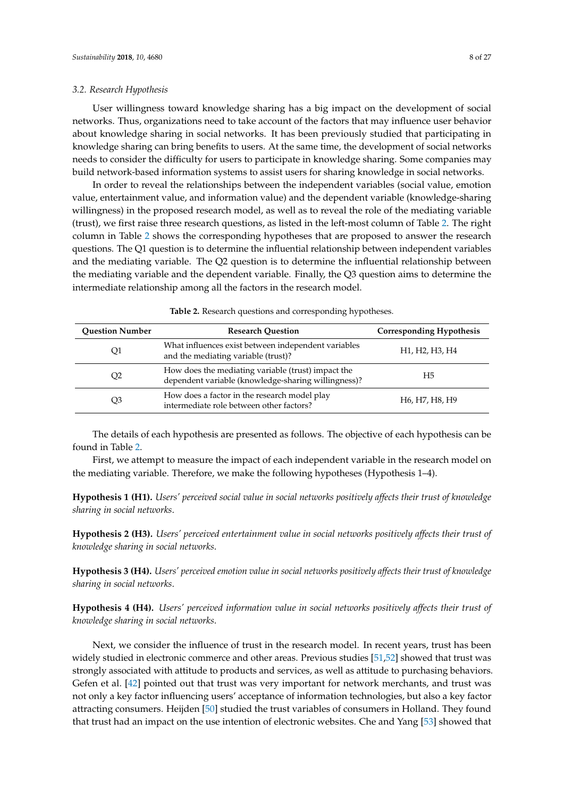#### *3.2. Research Hypothesis*

User willingness toward knowledge sharing has a big impact on the development of social networks. Thus, organizations need to take account of the factors that may influence user behavior about knowledge sharing in social networks. It has been previously studied that participating in knowledge sharing can bring benefits to users. At the same time, the development of social networks needs to consider the difficulty for users to participate in knowledge sharing. Some companies may build network-based information systems to assist users for sharing knowledge in social networks.

In order to reveal the relationships between the independent variables (social value, emotion value, entertainment value, and information value) and the dependent variable (knowledge-sharing willingness) in the proposed research model, as well as to reveal the role of the mediating variable (trust), we first raise three research questions, as listed in the left-most column of Table [2.](#page-7-0) The right column in Table [2](#page-7-0) shows the corresponding hypotheses that are proposed to answer the research questions. The Q1 question is to determine the influential relationship between independent variables and the mediating variable. The Q2 question is to determine the influential relationship between the mediating variable and the dependent variable. Finally, the Q3 question aims to determine the intermediate relationship among all the factors in the research model.

<span id="page-7-0"></span>

| <b>Question Number</b> | <b>Research Question</b>                                                                                  | <b>Corresponding Hypothesis</b>                                   |
|------------------------|-----------------------------------------------------------------------------------------------------------|-------------------------------------------------------------------|
| Q1                     | What influences exist between independent variables<br>and the mediating variable (trust)?                | H <sub>1</sub> , H <sub>2</sub> , H <sub>3</sub> , H <sub>4</sub> |
| Q <sub>2</sub>         | How does the mediating variable (trust) impact the<br>dependent variable (knowledge-sharing willingness)? | H <sub>5</sub>                                                    |
| Q3                     | How does a factor in the research model play<br>intermediate role between other factors?                  | H <sub>6</sub> , H <sub>7</sub> , H <sub>8</sub> , H <sub>9</sub> |

**Table 2.** Research questions and corresponding hypotheses.

The details of each hypothesis are presented as follows. The objective of each hypothesis can be found in Table [2.](#page-7-0)

First, we attempt to measure the impact of each independent variable in the research model on the mediating variable. Therefore, we make the following hypotheses (Hypothesis 1–4).

**Hypothesis 1 (H1).** *Users' perceived social value in social networks positively affects their trust of knowledge sharing in social networks*.

**Hypothesis 2 (H3).** *Users' perceived entertainment value in social networks positively affects their trust of knowledge sharing in social networks*.

**Hypothesis 3 (H4).** *Users' perceived emotion value in social networks positively affects their trust of knowledge sharing in social networks*.

**Hypothesis 4 (H4).** *Users' perceived information value in social networks positively affects their trust of knowledge sharing in social networks*.

Next, we consider the influence of trust in the research model. In recent years, trust has been widely studied in electronic commerce and other areas. Previous studies [\[51](#page-26-13)[,52\]](#page-26-14) showed that trust was strongly associated with attitude to products and services, as well as attitude to purchasing behaviors. Gefen et al. [\[42\]](#page-26-5) pointed out that trust was very important for network merchants, and trust was not only a key factor influencing users' acceptance of information technologies, but also a key factor attracting consumers. Heijden [\[50\]](#page-26-12) studied the trust variables of consumers in Holland. They found that trust had an impact on the use intention of electronic websites. Che and Yang [\[53\]](#page-26-15) showed that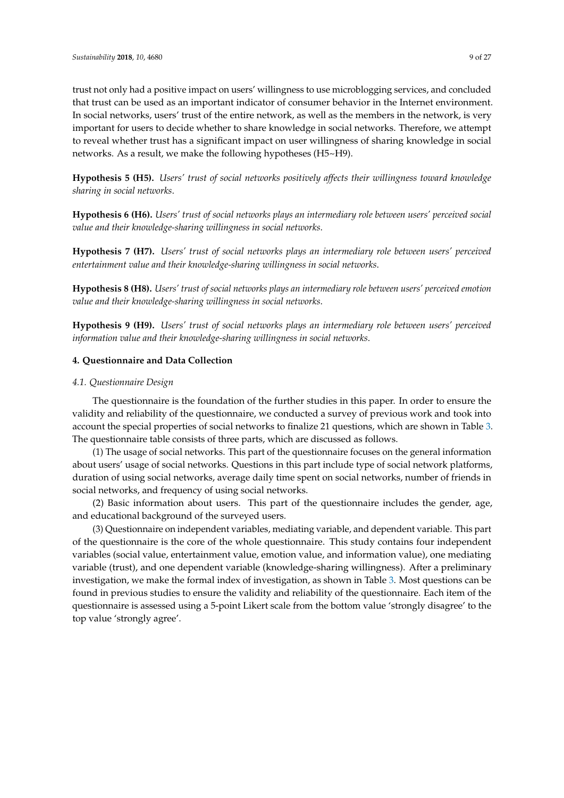trust not only had a positive impact on users' willingness to use microblogging services, and concluded that trust can be used as an important indicator of consumer behavior in the Internet environment. In social networks, users' trust of the entire network, as well as the members in the network, is very important for users to decide whether to share knowledge in social networks. Therefore, we attempt to reveal whether trust has a significant impact on user willingness of sharing knowledge in social networks. As a result, we make the following hypotheses (H5~H9).

**Hypothesis 5 (H5).** *Users' trust of social networks positively affects their willingness toward knowledge sharing in social networks*.

**Hypothesis 6 (H6).** *Users' trust of social networks plays an intermediary role between users' perceived social value and their knowledge-sharing willingness in social networks*.

**Hypothesis 7 (H7).** *Users' trust of social networks plays an intermediary role between users' perceived entertainment value and their knowledge-sharing willingness in social networks*.

**Hypothesis 8 (H8).** *Users' trust of social networks plays an intermediary role between users' perceived emotion value and their knowledge-sharing willingness in social networks*.

**Hypothesis 9 (H9).** *Users' trust of social networks plays an intermediary role between users' perceived information value and their knowledge-sharing willingness in social networks*.

# <span id="page-8-0"></span>**4. Questionnaire and Data Collection**

# *4.1. Questionnaire Design*

The questionnaire is the foundation of the further studies in this paper. In order to ensure the validity and reliability of the questionnaire, we conducted a survey of previous work and took into account the special properties of social networks to finalize 21 questions, which are shown in Table [3.](#page-9-0) The questionnaire table consists of three parts, which are discussed as follows.

(1) The usage of social networks. This part of the questionnaire focuses on the general information about users' usage of social networks. Questions in this part include type of social network platforms, duration of using social networks, average daily time spent on social networks, number of friends in social networks, and frequency of using social networks.

(2) Basic information about users. This part of the questionnaire includes the gender, age, and educational background of the surveyed users.

(3) Questionnaire on independent variables, mediating variable, and dependent variable. This part of the questionnaire is the core of the whole questionnaire. This study contains four independent variables (social value, entertainment value, emotion value, and information value), one mediating variable (trust), and one dependent variable (knowledge-sharing willingness). After a preliminary investigation, we make the formal index of investigation, as shown in Table [3.](#page-9-0) Most questions can be found in previous studies to ensure the validity and reliability of the questionnaire. Each item of the questionnaire is assessed using a 5-point Likert scale from the bottom value 'strongly disagree' to the top value 'strongly agree'.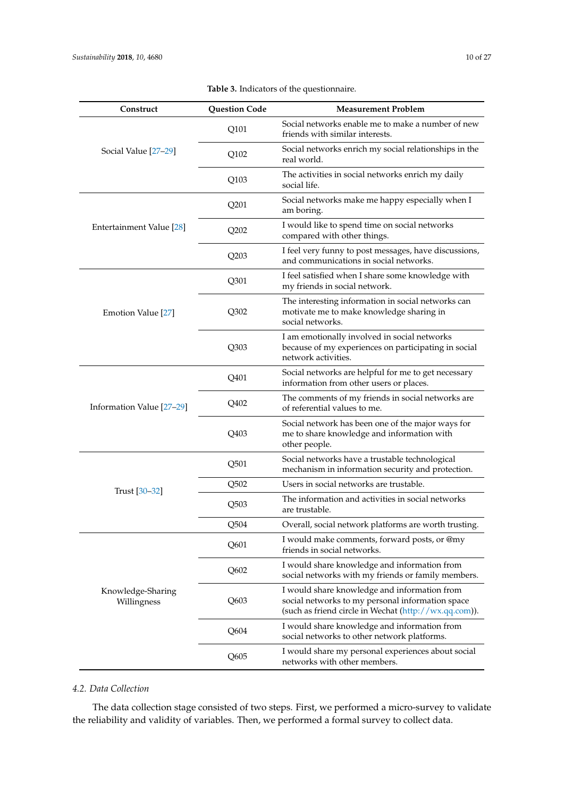<span id="page-9-0"></span>

| Construct                        | <b>Question Code</b> | <b>Measurement Problem</b>                                                                                                                                |
|----------------------------------|----------------------|-----------------------------------------------------------------------------------------------------------------------------------------------------------|
|                                  | Q101                 | Social networks enable me to make a number of new<br>friends with similar interests.                                                                      |
| Social Value [27-29]             | Q102                 | Social networks enrich my social relationships in the<br>real world.                                                                                      |
|                                  | Q103                 | The activities in social networks enrich my daily<br>social life.                                                                                         |
|                                  | Q201                 | Social networks make me happy especially when I<br>am boring.                                                                                             |
| Entertainment Value [28]         | Q202                 | I would like to spend time on social networks<br>compared with other things.                                                                              |
|                                  | Q203                 | I feel very funny to post messages, have discussions,<br>and communications in social networks.                                                           |
|                                  | Q301                 | I feel satisfied when I share some knowledge with<br>my friends in social network.                                                                        |
| Emotion Value [27]               | Q302                 | The interesting information in social networks can<br>motivate me to make knowledge sharing in<br>social networks.                                        |
|                                  | Q303                 | I am emotionally involved in social networks<br>because of my experiences on participating in social<br>network activities.                               |
|                                  | Q401                 | Social networks are helpful for me to get necessary<br>information from other users or places.                                                            |
| Information Value [27-29]        | Q402                 | The comments of my friends in social networks are<br>of referential values to me.                                                                         |
|                                  | Q403                 | Social network has been one of the major ways for<br>me to share knowledge and information with<br>other people.                                          |
|                                  | Q501                 | Social networks have a trustable technological<br>mechanism in information security and protection.                                                       |
| Trust [30-32]                    | Q <sub>502</sub>     | Users in social networks are trustable.                                                                                                                   |
|                                  | Q <sub>503</sub>     | The information and activities in social networks<br>are trustable.                                                                                       |
|                                  | Q504                 | Overall, social network platforms are worth trusting.                                                                                                     |
|                                  | Q601                 | I would make comments, forward posts, or @my<br>friends in social networks.                                                                               |
|                                  | Q602                 | I would share knowledge and information from<br>social networks with my friends or family members.                                                        |
| Knowledge-Sharing<br>Willingness | Q603                 | I would share knowledge and information from<br>social networks to my personal information space<br>(such as friend circle in Wechat (http://wx.qq.com)). |
|                                  | Q604                 | I would share knowledge and information from<br>social networks to other network platforms.                                                               |
|                                  | Q605                 | I would share my personal experiences about social<br>networks with other members.                                                                        |

**Table 3.** Indicators of the questionnaire.

# *4.2. Data Collection*

The data collection stage consisted of two steps. First, we performed a micro-survey to validate the reliability and validity of variables. Then, we performed a formal survey to collect data.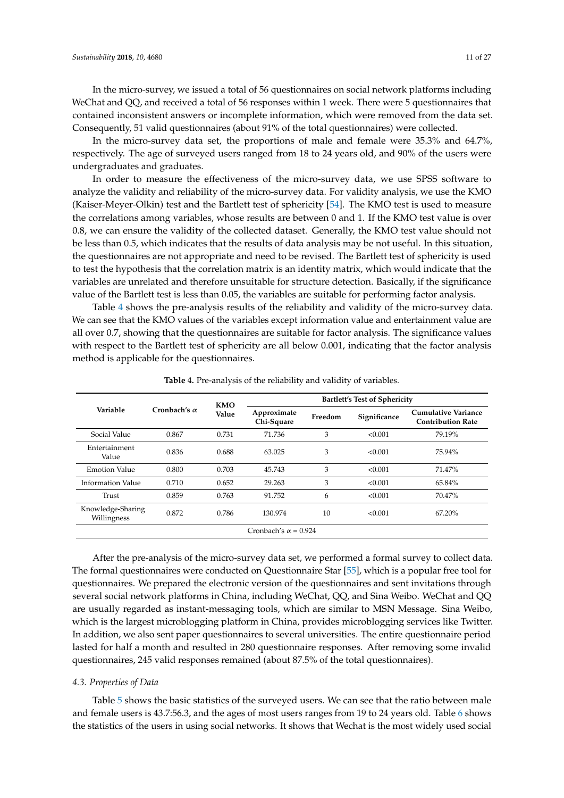In the micro-survey, we issued a total of 56 questionnaires on social network platforms including WeChat and QQ, and received a total of 56 responses within 1 week. There were 5 questionnaires that contained inconsistent answers or incomplete information, which were removed from the data set. Consequently, 51 valid questionnaires (about 91% of the total questionnaires) were collected.

In the micro-survey data set, the proportions of male and female were 35.3% and 64.7%, respectively. The age of surveyed users ranged from 18 to 24 years old, and 90% of the users were undergraduates and graduates.

In order to measure the effectiveness of the micro-survey data, we use SPSS software to analyze the validity and reliability of the micro-survey data. For validity analysis, we use the KMO (Kaiser-Meyer-Olkin) test and the Bartlett test of sphericity [\[54\]](#page-26-16). The KMO test is used to measure the correlations among variables, whose results are between 0 and 1. If the KMO test value is over 0.8, we can ensure the validity of the collected dataset. Generally, the KMO test value should not be less than 0.5, which indicates that the results of data analysis may be not useful. In this situation, the questionnaires are not appropriate and need to be revised. The Bartlett test of sphericity is used to test the hypothesis that the correlation matrix is an identity matrix, which would indicate that the variables are unrelated and therefore unsuitable for structure detection. Basically, if the significance value of the Bartlett test is less than 0.05, the variables are suitable for performing factor analysis.

Table [4](#page-10-0) shows the pre-analysis results of the reliability and validity of the micro-survey data. We can see that the KMO values of the variables except information value and entertainment value are all over 0.7, showing that the questionnaires are suitable for factor analysis. The significance values with respect to the Bartlett test of sphericity are all below 0.001, indicating that the factor analysis method is applicable for the questionnaires.

<span id="page-10-0"></span>

|                                  |                     | <b>KMO</b> | <b>Bartlett's Test of Sphericity</b> |         |              |                                                        |  |
|----------------------------------|---------------------|------------|--------------------------------------|---------|--------------|--------------------------------------------------------|--|
| Variable                         | Cronbach's $\alpha$ | Value      | Approximate<br>Chi-Square            | Freedom | Significance | <b>Cumulative Variance</b><br><b>Contribution Rate</b> |  |
| Social Value                     | 0.867               | 0.731      | 71.736                               | 3       | < 0.001      | 79.19%                                                 |  |
| Entertainment<br>Value           | 0.836               | 0.688      | 63.025                               | 3       | < 0.001      | 75.94%                                                 |  |
| <b>Emotion Value</b>             | 0.800               | 0.703      | 45.743                               | 3       | < 0.001      | 71.47%                                                 |  |
| Information Value                | 0.710               | 0.652      | 29.263                               | 3       | < 0.001      | 65.84%                                                 |  |
| Trust                            | 0.859               | 0.763      | 91.752                               | 6       | < 0.001      | 70.47%                                                 |  |
| Knowledge-Sharing<br>Willingness | 0.872               | 0.786      | 130.974                              | 10      | < 0.001      | 67.20%                                                 |  |
| Cronbach's $\alpha = 0.924$      |                     |            |                                      |         |              |                                                        |  |

**Table 4.** Pre-analysis of the reliability and validity of variables.

After the pre-analysis of the micro-survey data set, we performed a formal survey to collect data. The formal questionnaires were conducted on Questionnaire Star [\[55\]](#page-26-17), which is a popular free tool for questionnaires. We prepared the electronic version of the questionnaires and sent invitations through several social network platforms in China, including WeChat, QQ, and Sina Weibo. WeChat and QQ are usually regarded as instant-messaging tools, which are similar to MSN Message. Sina Weibo, which is the largest microblogging platform in China, provides microblogging services like Twitter. In addition, we also sent paper questionnaires to several universities. The entire questionnaire period lasted for half a month and resulted in 280 questionnaire responses. After removing some invalid questionnaires, 245 valid responses remained (about 87.5% of the total questionnaires).

#### *4.3. Properties of Data*

Table [5](#page-11-0) shows the basic statistics of the surveyed users. We can see that the ratio between male and female users is 43.7:56.3, and the ages of most users ranges from 19 to 24 years old. Table [6](#page-11-1) shows the statistics of the users in using social networks. It shows that Wechat is the most widely used social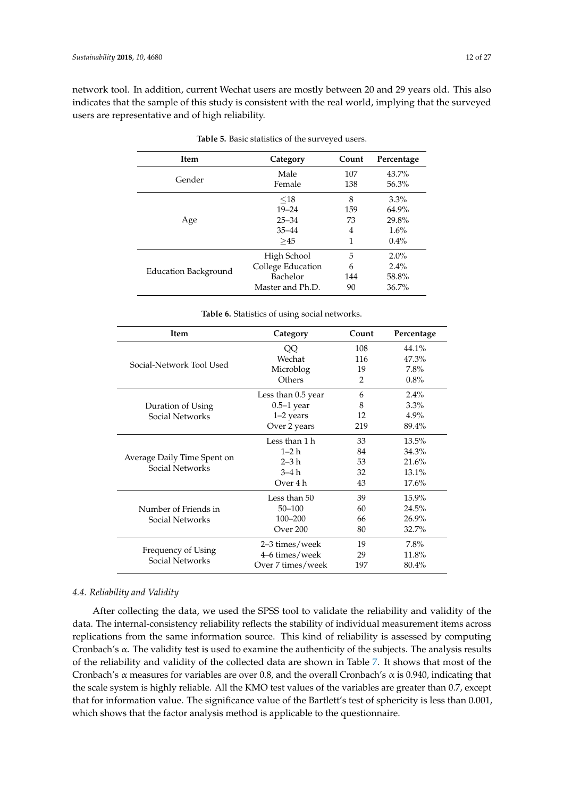<span id="page-11-0"></span>network tool. In addition, current Wechat users are mostly between 20 and 29 years old. This also indicates that the sample of this study is consistent with the real world, implying that the surveyed users are representative and of high reliability.

| <b>Item</b>          | Category          | Count | Percentage |
|----------------------|-------------------|-------|------------|
|                      | Male              | 107   | $43.7\%$   |
| Gender               | Female            | 138   | 56.3%      |
|                      | $<$ 18            | 8     | $3.3\%$    |
|                      | $19 - 24$         | 159   | 64.9%      |
| Age                  | $25 - 34$         | 73    | 29.8%      |
|                      | $35 - 44$         | 4     | 1.6%       |
|                      | >45               | 1     | $0.4\%$    |
|                      | High School       | 5     | $2.0\%$    |
|                      | College Education | 6     | $2.4\%$    |
| Education Background | Bachelor          | 144   | 58.8%      |
|                      | Master and Ph.D.  | 90    | 36.7%      |

**Table 5.** Basic statistics of the surveyed users.

| Table 6. Statistics of using social networks. |  |  |  |
|-----------------------------------------------|--|--|--|
|-----------------------------------------------|--|--|--|

<span id="page-11-1"></span>

| Item                        | Category           | Count | Percentage |
|-----------------------------|--------------------|-------|------------|
|                             | QQ                 | 108   | 44.1%      |
|                             | Wechat             | 116   | 47.3%      |
| Social-Network Tool Used    | Microblog          | 19    | 7.8%       |
|                             | Others             | 2     | 0.8%       |
|                             | Less than 0.5 year | 6     | 2.4%       |
| Duration of Using           | $0.5-1$ year       | 8     | $3.3\%$    |
| Social Networks             | $1-2$ years        | 12    | 4.9%       |
|                             | Over 2 years       | 219   | 89.4%      |
|                             | Less than 1 h      | 33    | 13.5%      |
|                             | $1 - 2h$           | 84    | 34.3%      |
| Average Daily Time Spent on | $2-3h$             | 53    | 21.6%      |
| Social Networks             | $3-4h$             | 32    | 13.1%      |
|                             | Over 4 h           | 43    | 17.6%      |
|                             | Less than 50       | 39    | 15.9%      |
| Number of Friends in        | $50 - 100$         | 60    | 24.5%      |
| Social Networks             | $100 - 200$        | 66    | 26.9%      |
|                             | Over 200           | 80    | 32.7%      |
|                             | 2–3 times/week     | 19    | 7.8%       |
| Frequency of Using          | 4–6 times/week     | 29    | 11.8%      |
| Social Networks             | Over 7 times/week  | 197   | $80.4\%$   |

# *4.4. Reliability and Validity*

After collecting the data, we used the SPSS tool to validate the reliability and validity of the data. The internal-consistency reliability reflects the stability of individual measurement items across replications from the same information source. This kind of reliability is assessed by computing Cronbach's α. The validity test is used to examine the authenticity of the subjects. The analysis results of the reliability and validity of the collected data are shown in Table [7.](#page-12-1) It shows that most of the Cronbach's  $\alpha$  measures for variables are over 0.8, and the overall Cronbach's  $\alpha$  is 0.940, indicating that the scale system is highly reliable. All the KMO test values of the variables are greater than 0.7, except that for information value. The significance value of the Bartlett's test of sphericity is less than 0.001, which shows that the factor analysis method is applicable to the questionnaire.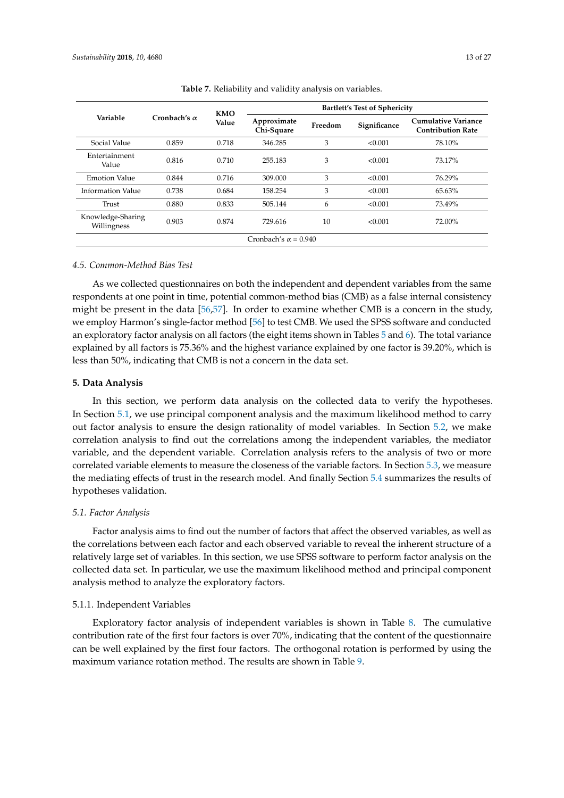<span id="page-12-1"></span>

|                                  |                     | KMO   | <b>Bartlett's Test of Sphericity</b> |         |              |                                                 |  |
|----------------------------------|---------------------|-------|--------------------------------------|---------|--------------|-------------------------------------------------|--|
| Variable                         | Cronbach's $\alpha$ | Value | Approximate<br>Chi-Square            | Freedom | Significance | Cumulative Variance<br><b>Contribution Rate</b> |  |
| Social Value                     | 0.859               | 0.718 | 346.285                              | 3       | < 0.001      | 78.10%                                          |  |
| Entertainment<br>Value           | 0.816               | 0.710 | 255.183                              | 3       | < 0.001      | 73.17%                                          |  |
| <b>Emotion Value</b>             | 0.844               | 0.716 | 309.000                              | 3       | < 0.001      | 76.29%                                          |  |
| Information Value                | 0.738               | 0.684 | 158.254                              | 3       | < 0.001      | 65.63%                                          |  |
| Trust                            | 0.880               | 0.833 | 505.144                              | 6       | < 0.001      | 73.49%                                          |  |
| Knowledge-Sharing<br>Willingness | 0.903               | 0.874 | 729.616                              | 10      | < 0.001      | 72.00%                                          |  |
| Cronbach's $\alpha = 0.940$      |                     |       |                                      |         |              |                                                 |  |

**Table 7.** Reliability and validity analysis on variables.

## *4.5. Common-Method Bias Test*

As we collected questionnaires on both the independent and dependent variables from the same respondents at one point in time, potential common-method bias (CMB) as a false internal consistency might be present in the data [\[56](#page-26-18)[,57\]](#page-26-19). In order to examine whether CMB is a concern in the study, we employ Harmon's single-factor method [\[56\]](#page-26-18) to test CMB. We used the SPSS software and conducted an exploratory factor analysis on all factors (the eight items shown in Tables [5](#page-11-0) and [6\)](#page-11-1). The total variance explained by all factors is 75.36% and the highest variance explained by one factor is 39.20%, which is less than 50%, indicating that CMB is not a concern in the data set.

## <span id="page-12-0"></span>**5. Data Analysis**

In this section, we perform data analysis on the collected data to verify the hypotheses. In Section [5.1,](#page-12-2) we use principal component analysis and the maximum likelihood method to carry out factor analysis to ensure the design rationality of model variables. In Section [5.2,](#page-15-0) we make correlation analysis to find out the correlations among the independent variables, the mediator variable, and the dependent variable. Correlation analysis refers to the analysis of two or more correlated variable elements to measure the closeness of the variable factors. In Section [5.3,](#page-16-0) we measure the mediating effects of trust in the research model. And finally Section [5.4](#page-20-0) summarizes the results of hypotheses validation.

# <span id="page-12-2"></span>*5.1. Factor Analysis*

Factor analysis aims to find out the number of factors that affect the observed variables, as well as the correlations between each factor and each observed variable to reveal the inherent structure of a relatively large set of variables. In this section, we use SPSS software to perform factor analysis on the collected data set. In particular, we use the maximum likelihood method and principal component analysis method to analyze the exploratory factors.

#### 5.1.1. Independent Variables

Exploratory factor analysis of independent variables is shown in Table [8.](#page-13-0) The cumulative contribution rate of the first four factors is over 70%, indicating that the content of the questionnaire can be well explained by the first four factors. The orthogonal rotation is performed by using the maximum variance rotation method. The results are shown in Table [9.](#page-13-1)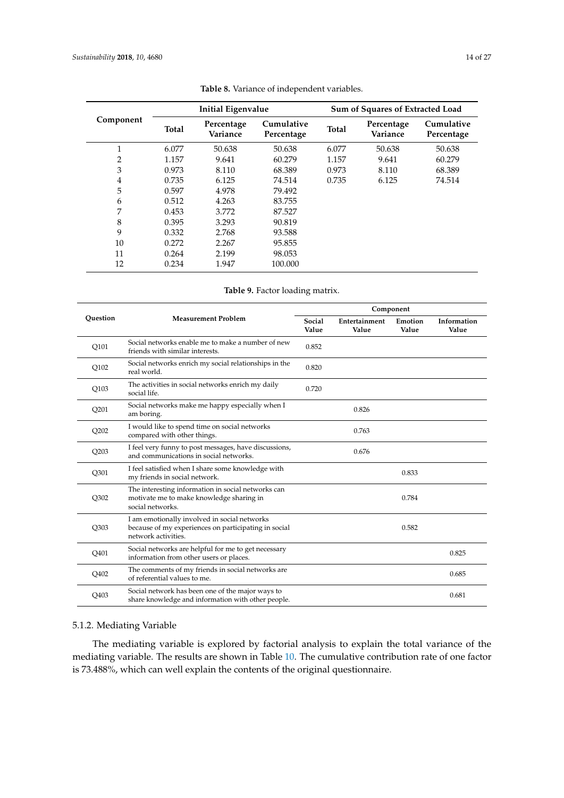<span id="page-13-0"></span>

|           | Initial Eigenvalue |                        |                          | Sum of Squares of Extracted Load |                        |                          |
|-----------|--------------------|------------------------|--------------------------|----------------------------------|------------------------|--------------------------|
| Component | <b>Total</b>       | Percentage<br>Variance | Cumulative<br>Percentage | <b>Total</b>                     | Percentage<br>Variance | Cumulative<br>Percentage |
| 1         | 6.077              | 50.638                 | 50.638                   | 6.077                            | 50.638                 | 50.638                   |
| 2         | 1.157              | 9.641                  | 60.279                   | 1.157                            | 9.641                  | 60.279                   |
| 3         | 0.973              | 8.110                  | 68.389                   | 0.973                            | 8.110                  | 68.389                   |
| 4         | 0.735              | 6.125                  | 74.514                   | 0.735                            | 6.125                  | 74.514                   |
| 5         | 0.597              | 4.978                  | 79.492                   |                                  |                        |                          |
| 6         | 0.512              | 4.263                  | 83.755                   |                                  |                        |                          |
| 7         | 0.453              | 3.772                  | 87.527                   |                                  |                        |                          |
| 8         | 0.395              | 3.293                  | 90.819                   |                                  |                        |                          |
| 9         | 0.332              | 2.768                  | 93.588                   |                                  |                        |                          |
| 10        | 0.272              | 2.267                  | 95.855                   |                                  |                        |                          |
| 11        | 0.264              | 2.199                  | 98.053                   |                                  |                        |                          |
| 12        | 0.234              | 1.947                  | 100.000                  |                                  |                        |                          |

| Table 8. Variance of independent variables. |  |
|---------------------------------------------|--|
|---------------------------------------------|--|

**Table 9.** Factor loading matrix.

<span id="page-13-1"></span>

|                  |                                                                                                                             |                 | Component              |                  |                      |  |  |
|------------------|-----------------------------------------------------------------------------------------------------------------------------|-----------------|------------------------|------------------|----------------------|--|--|
| Ouestion         | <b>Measurement Problem</b>                                                                                                  | Social<br>Value | Entertainment<br>Value | Emotion<br>Value | Information<br>Value |  |  |
| Q101             | Social networks enable me to make a number of new<br>friends with similar interests.                                        | 0.852           |                        |                  |                      |  |  |
| Q102             | Social networks enrich my social relationships in the<br>real world.                                                        | 0.820           |                        |                  |                      |  |  |
| Q103             | The activities in social networks enrich my daily<br>social life.                                                           | 0.720           |                        |                  |                      |  |  |
| Q201             | Social networks make me happy especially when I<br>am boring.                                                               |                 | 0.826                  |                  |                      |  |  |
| Q202             | I would like to spend time on social networks<br>compared with other things.                                                |                 | 0.763                  |                  |                      |  |  |
| Q203             | I feel very funny to post messages, have discussions,<br>and communications in social networks.                             |                 | 0.676                  |                  |                      |  |  |
| Q301             | I feel satisfied when I share some knowledge with<br>my friends in social network.                                          |                 |                        | 0.833            |                      |  |  |
| Q302             | The interesting information in social networks can<br>motivate me to make knowledge sharing in<br>social networks.          |                 |                        | 0.784            |                      |  |  |
| O303             | I am emotionally involved in social networks<br>because of my experiences on participating in social<br>network activities. |                 |                        | 0.582            |                      |  |  |
| Q401             | Social networks are helpful for me to get necessary<br>information from other users or places.                              |                 |                        |                  | 0.825                |  |  |
| Q402             | The comments of my friends in social networks are<br>of referential values to me.                                           |                 |                        |                  | 0.685                |  |  |
| O <sub>403</sub> | Social network has been one of the major ways to<br>share knowledge and information with other people.                      |                 |                        |                  | 0.681                |  |  |

# 5.1.2. Mediating Variable

The mediating variable is explored by factorial analysis to explain the total variance of the mediating variable. The results are shown in Table [10.](#page-14-0) The cumulative contribution rate of one factor is 73.488%, which can well explain the contents of the original questionnaire.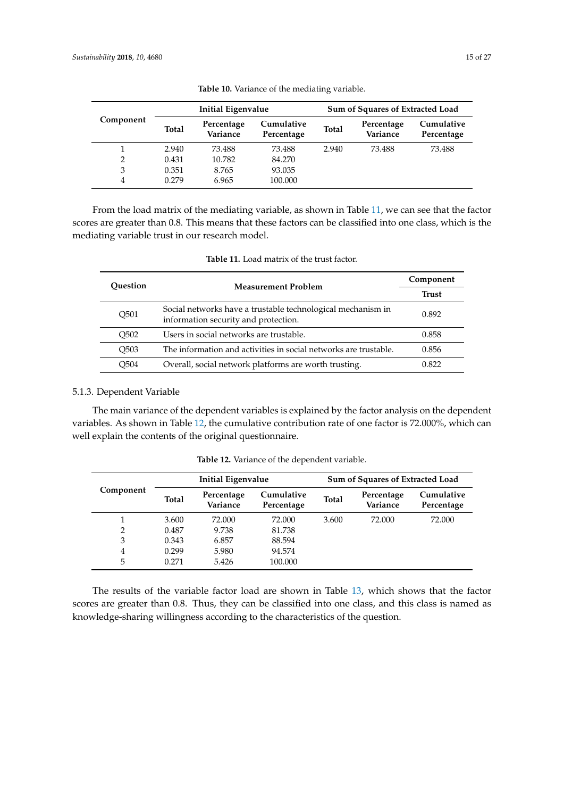<span id="page-14-0"></span>

|           | Initial Eigenvalue |                        |                          | Sum of Squares of Extracted Load |                        |                          |
|-----------|--------------------|------------------------|--------------------------|----------------------------------|------------------------|--------------------------|
| Component | <b>Total</b>       | Percentage<br>Variance | Cumulative<br>Percentage | <b>Total</b>                     | Percentage<br>Variance | Cumulative<br>Percentage |
|           | 2.940              | 73.488                 | 73.488                   | 2.940                            | 73.488                 | 73.488                   |
| 2         | 0.431              | 10.782                 | 84.270                   |                                  |                        |                          |
| 3         | 0.351              | 8.765                  | 93.035                   |                                  |                        |                          |
| 4         | 0.279              | 6.965                  | 100.000                  |                                  |                        |                          |

**Table 10.** Variance of the mediating variable.

From the load matrix of the mediating variable, as shown in Table [11,](#page-14-1) we can see that the factor scores are greater than 0.8. This means that these factors can be classified into one class, which is the mediating variable trust in our research model.

<span id="page-14-1"></span>

| Ouestion                      | <b>Measurement Problem</b>                                                                          | Component    |
|-------------------------------|-----------------------------------------------------------------------------------------------------|--------------|
|                               |                                                                                                     | <b>Trust</b> |
| O <sub>501</sub>              | Social networks have a trustable technological mechanism in<br>information security and protection. | 0.892        |
| O <sub>5</sub> 0 <sub>2</sub> | Users in social networks are trustable.                                                             | 0.858        |
| O <sub>503</sub>              | The information and activities in social networks are trustable.                                    | 0.856        |
| O <sub>504</sub>              | Overall, social network platforms are worth trusting.                                               | 0.822        |

# 5.1.3. Dependent Variable

The main variance of the dependent variables is explained by the factor analysis on the dependent variables. As shown in Table [12,](#page-14-2) the cumulative contribution rate of one factor is 72.000%, which can well explain the contents of the original questionnaire.

<span id="page-14-2"></span>

|                | Initial Eigenvalue |                        |                          | Sum of Squares of Extracted Load |                        |                          |
|----------------|--------------------|------------------------|--------------------------|----------------------------------|------------------------|--------------------------|
| Component      | <b>Total</b>       | Percentage<br>Variance | Cumulative<br>Percentage | <b>Total</b>                     | Percentage<br>Variance | Cumulative<br>Percentage |
|                | 3.600              | 72.000                 | 72.000                   | 3.600                            | 72.000                 | 72.000                   |
| $\overline{2}$ | 0.487              | 9.738                  | 81.738                   |                                  |                        |                          |
| 3              | 0.343              | 6.857                  | 88.594                   |                                  |                        |                          |
| 4              | 0.299              | 5.980                  | 94.574                   |                                  |                        |                          |
| 5              | 0.271              | 5.426                  | 100.000                  |                                  |                        |                          |

**Table 12.** Variance of the dependent variable.

The results of the variable factor load are shown in Table [13,](#page-15-1) which shows that the factor scores are greater than 0.8. Thus, they can be classified into one class, and this class is named as knowledge-sharing willingness according to the characteristics of the question.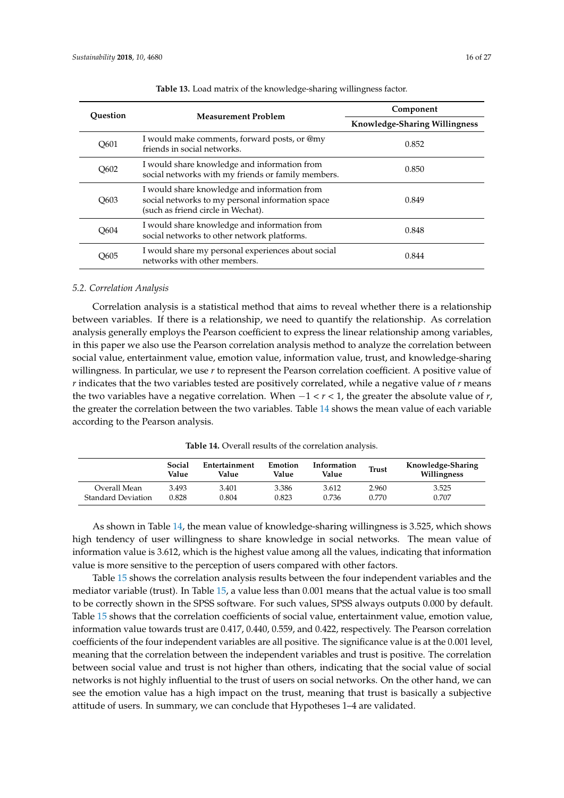<span id="page-15-1"></span>

| Ouestion | <b>Measurement Problem</b>                                                                                                             | Component                            |
|----------|----------------------------------------------------------------------------------------------------------------------------------------|--------------------------------------|
|          |                                                                                                                                        | <b>Knowledge-Sharing Willingness</b> |
| O601     | I would make comments, forward posts, or @my<br>friends in social networks.                                                            | 0.852                                |
| O602     | I would share knowledge and information from<br>social networks with my friends or family members.                                     | 0.850                                |
| O603     | I would share knowledge and information from<br>social networks to my personal information space<br>(such as friend circle in Wechat). | 0.849                                |
| O604     | I would share knowledge and information from<br>social networks to other network platforms.                                            | 0.848                                |
| O605     | I would share my personal experiences about social<br>networks with other members.                                                     | 0.844                                |

**Table 13.** Load matrix of the knowledge-sharing willingness factor.

#### <span id="page-15-0"></span>*5.2. Correlation Analysis*

Correlation analysis is a statistical method that aims to reveal whether there is a relationship between variables. If there is a relationship, we need to quantify the relationship. As correlation analysis generally employs the Pearson coefficient to express the linear relationship among variables, in this paper we also use the Pearson correlation analysis method to analyze the correlation between social value, entertainment value, emotion value, information value, trust, and knowledge-sharing willingness. In particular, we use *r* to represent the Pearson correlation coefficient. A positive value of *r* indicates that the two variables tested are positively correlated, while a negative value of *r* means the two variables have a negative correlation. When −1 < *r* < 1, the greater the absolute value of *r*, the greater the correlation between the two variables. Table [14](#page-15-2) shows the mean value of each variable according to the Pearson analysis.

**Table 14.** Overall results of the correlation analysis.

<span id="page-15-2"></span>

|                    | Social<br>Value | Entertainment<br>Value | Emotion<br>Value | Information<br>Value | <b>Trust</b> | Knowledge-Sharing<br>Willingness |
|--------------------|-----------------|------------------------|------------------|----------------------|--------------|----------------------------------|
| Overall Mean       | 3.493           | 3.401                  | 3.386            | 3.612                | 2.960        | 3.525                            |
| Standard Deviation | 0.828           | 0.804                  | 0.823            | 0.736                | 0.770        | 0.707                            |

As shown in Table [14,](#page-15-2) the mean value of knowledge-sharing willingness is 3.525, which shows high tendency of user willingness to share knowledge in social networks. The mean value of information value is 3.612, which is the highest value among all the values, indicating that information value is more sensitive to the perception of users compared with other factors.

Table [15](#page-16-1) shows the correlation analysis results between the four independent variables and the mediator variable (trust). In Table [15,](#page-16-1) a value less than 0.001 means that the actual value is too small to be correctly shown in the SPSS software. For such values, SPSS always outputs 0.000 by default. Table [15](#page-16-1) shows that the correlation coefficients of social value, entertainment value, emotion value, information value towards trust are 0.417, 0.440, 0.559, and 0.422, respectively. The Pearson correlation coefficients of the four independent variables are all positive. The significance value is at the 0.001 level, meaning that the correlation between the independent variables and trust is positive. The correlation between social value and trust is not higher than others, indicating that the social value of social networks is not highly influential to the trust of users on social networks. On the other hand, we can see the emotion value has a high impact on the trust, meaning that trust is basically a subjective attitude of users. In summary, we can conclude that Hypotheses 1–4 are validated.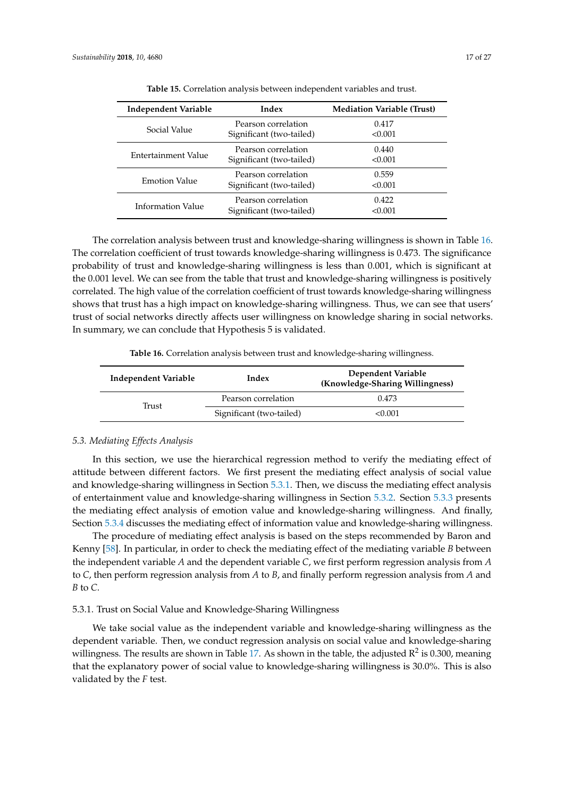<span id="page-16-1"></span>

| <b>Independent Variable</b> | Index                                           | <b>Mediation Variable (Trust)</b> |
|-----------------------------|-------------------------------------------------|-----------------------------------|
| Social Value                | Pearson correlation<br>Significant (two-tailed) | 0.417<br>< 0.001                  |
| Entertainment Value         | Pearson correlation<br>Significant (two-tailed) | 0.440<br>< 0.001                  |
| <b>Emotion Value</b>        | Pearson correlation<br>Significant (two-tailed) | 0.559<br>< 0.001                  |
| Information Value           | Pearson correlation<br>Significant (two-tailed) | 0.422<br>< 0.001                  |

**Table 15.** Correlation analysis between independent variables and trust.

The correlation analysis between trust and knowledge-sharing willingness is shown in Table [16.](#page-16-2) The correlation coefficient of trust towards knowledge-sharing willingness is 0.473. The significance probability of trust and knowledge-sharing willingness is less than 0.001, which is significant at the 0.001 level. We can see from the table that trust and knowledge-sharing willingness is positively correlated. The high value of the correlation coefficient of trust towards knowledge-sharing willingness shows that trust has a high impact on knowledge-sharing willingness. Thus, we can see that users' trust of social networks directly affects user willingness on knowledge sharing in social networks. In summary, we can conclude that Hypothesis 5 is validated.

**Table 16.** Correlation analysis between trust and knowledge-sharing willingness.

<span id="page-16-2"></span>

| Independent Variable | Index                    | Dependent Variable<br>(Knowledge-Sharing Willingness) |
|----------------------|--------------------------|-------------------------------------------------------|
| Trust                | Pearson correlation      | 0.473                                                 |
|                      | Significant (two-tailed) | < 0.001                                               |

#### <span id="page-16-0"></span>*5.3. Mediating Effects Analysis*

In this section, we use the hierarchical regression method to verify the mediating effect of attitude between different factors. We first present the mediating effect analysis of social value and knowledge-sharing willingness in Section [5.3.1.](#page-16-3) Then, we discuss the mediating effect analysis of entertainment value and knowledge-sharing willingness in Section [5.3.2.](#page-17-0) Section [5.3.3](#page-18-0) presents the mediating effect analysis of emotion value and knowledge-sharing willingness. And finally, Section [5.3.4](#page-19-0) discusses the mediating effect of information value and knowledge-sharing willingness.

The procedure of mediating effect analysis is based on the steps recommended by Baron and Kenny [\[58\]](#page-26-20). In particular, in order to check the mediating effect of the mediating variable *B* between the independent variable *A* and the dependent variable *C*, we first perform regression analysis from *A* to *C*, then perform regression analysis from *A* to *B*, and finally perform regression analysis from *A* and *B* to *C*.

# <span id="page-16-3"></span>5.3.1. Trust on Social Value and Knowledge-Sharing Willingness

We take social value as the independent variable and knowledge-sharing willingness as the dependent variable. Then, we conduct regression analysis on social value and knowledge-sharing willingness. The results are shown in Table [17.](#page-17-1) As shown in the table, the adjusted  $R^2$  is 0.300, meaning that the explanatory power of social value to knowledge-sharing willingness is 30.0%. This is also validated by the *F* test.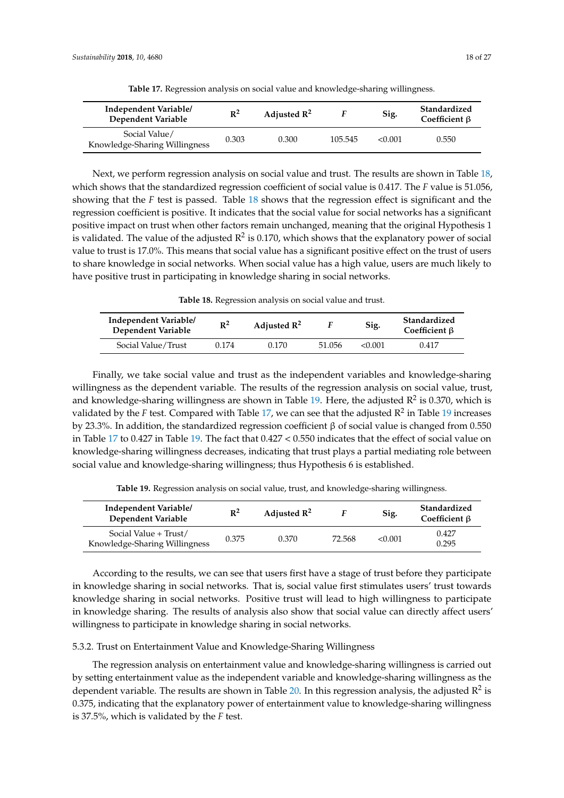<span id="page-17-1"></span>

| Independent Variable/<br>Dependent Variable    | $\mathbb{R}^2$ | Adjusted $\mathbb{R}^2$ |         | Sig.    | Standardized<br>Coefficient $\beta$ |
|------------------------------------------------|----------------|-------------------------|---------|---------|-------------------------------------|
| Social Value/<br>Knowledge-Sharing Willingness | 0.303          | 0.300                   | 105.545 | < 0.001 | 0.550                               |

**Table 17.** Regression analysis on social value and knowledge-sharing willingness.

Next, we perform regression analysis on social value and trust. The results are shown in Table [18,](#page-17-2) which shows that the standardized regression coefficient of social value is 0.417. The *F* value is 51.056, showing that the *F* test is passed. Table [18](#page-17-2) shows that the regression effect is significant and the regression coefficient is positive. It indicates that the social value for social networks has a significant positive impact on trust when other factors remain unchanged, meaning that the original Hypothesis 1 is validated. The value of the adjusted  $\mathsf{R}^2$  is 0.170, which shows that the explanatory power of social value to trust is 17.0%. This means that social value has a significant positive effect on the trust of users to share knowledge in social networks. When social value has a high value, users are much likely to have positive trust in participating in knowledge sharing in social networks.

**Table 18.** Regression analysis on social value and trust.

<span id="page-17-2"></span>

| Independent Variable/<br>Dependent Variable | $\mathbb{R}^2$ | Adjusted $\mathbb{R}^2$ |        | Sig.    | Standardized<br>Coefficient $\beta$ |
|---------------------------------------------|----------------|-------------------------|--------|---------|-------------------------------------|
| Social Value/Trust                          | 0.174          | 0.170                   | 51.056 | < 0.001 | 0.417                               |

Finally, we take social value and trust as the independent variables and knowledge-sharing willingness as the dependent variable. The results of the regression analysis on social value, trust, and knowledge-sharing willingness are shown in Table [19.](#page-17-3) Here, the adjusted  $\mathbb{R}^2$  is 0.370, which is validated by the *F* test. Compared with Table [17,](#page-17-1) we can see that the adjusted  $R^2$  in Table [19](#page-17-3) increases by 23.3%. In addition, the standardized regression coefficient β of social value is changed from 0.550 in Table [17](#page-17-1) to 0.427 in Table [19.](#page-17-3) The fact that 0.427 < 0.550 indicates that the effect of social value on knowledge-sharing willingness decreases, indicating that trust plays a partial mediating role between social value and knowledge-sharing willingness; thus Hypothesis 6 is established.

**Table 19.** Regression analysis on social value, trust, and knowledge-sharing willingness.

<span id="page-17-3"></span>

| Independent Variable/<br>Dependent Variable            | $R^2$ | Adjusted $\mathbb{R}^2$ |        | Sig.    | Standardized<br>Coefficient $\beta$ |
|--------------------------------------------------------|-------|-------------------------|--------|---------|-------------------------------------|
| Social Value + Trust/<br>Knowledge-Sharing Willingness | 0.375 | 0.370                   | 72.568 | < 0.001 | 0.427<br>0.295                      |

According to the results, we can see that users first have a stage of trust before they participate in knowledge sharing in social networks. That is, social value first stimulates users' trust towards knowledge sharing in social networks. Positive trust will lead to high willingness to participate in knowledge sharing. The results of analysis also show that social value can directly affect users' willingness to participate in knowledge sharing in social networks.

<span id="page-17-0"></span>5.3.2. Trust on Entertainment Value and Knowledge-Sharing Willingness

The regression analysis on entertainment value and knowledge-sharing willingness is carried out by setting entertainment value as the independent variable and knowledge-sharing willingness as the dependent variable. The results are shown in Table [20.](#page-18-1) In this regression analysis, the adjusted  $\mathbb{R}^2$  is 0.375, indicating that the explanatory power of entertainment value to knowledge-sharing willingness is 37.5%, which is validated by the *F* test.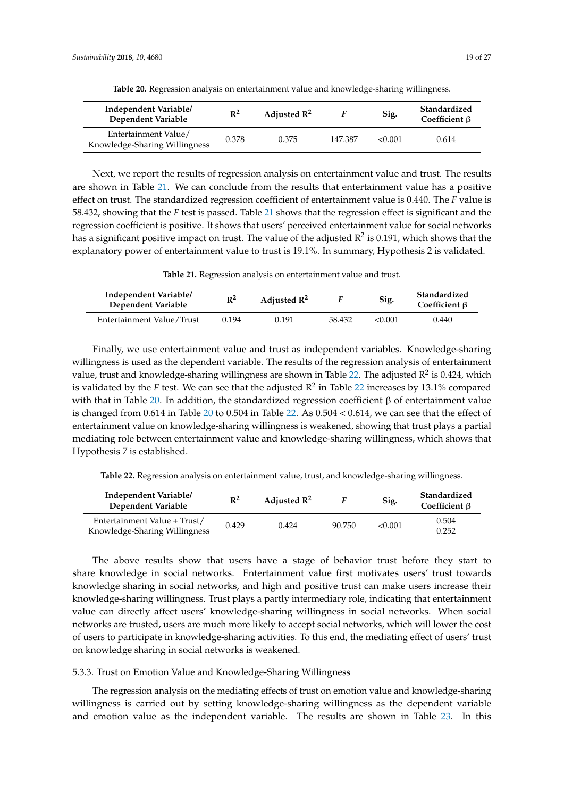<span id="page-18-1"></span>

| Independent Variable/<br>Dependent Variable           | $\mathbb{R}^2$ | Adjusted $\mathbb{R}^2$ |         | Sig.    | Standardized<br>Coefficient $\beta$ |
|-------------------------------------------------------|----------------|-------------------------|---------|---------|-------------------------------------|
| Entertainment Value/<br>Knowledge-Sharing Willingness | 0.378          | 0.375                   | 147.387 | < 0.001 | 0.614                               |

**Table 20.** Regression analysis on entertainment value and knowledge-sharing willingness.

Next, we report the results of regression analysis on entertainment value and trust. The results are shown in Table [21.](#page-18-2) We can conclude from the results that entertainment value has a positive effect on trust. The standardized regression coefficient of entertainment value is 0.440. The *F* value is 58.432, showing that the *F* test is passed. Table [21](#page-18-2) shows that the regression effect is significant and the regression coefficient is positive. It shows that users' perceived entertainment value for social networks has a significant positive impact on trust. The value of the adjusted  $\mathsf{R}^2$  is 0.191, which shows that the explanatory power of entertainment value to trust is 19.1%. In summary, Hypothesis 2 is validated.

**Table 21.** Regression analysis on entertainment value and trust.

<span id="page-18-2"></span>

| Independent Variable/<br>Dependent Variable | $R^2$ | Adjusted $\mathbb{R}^2$ |        | Sig.    | Standardized<br>Coefficient $\beta$ |
|---------------------------------------------|-------|-------------------------|--------|---------|-------------------------------------|
| Entertainment Value/Trust                   | 0.194 | 0.191                   | 58.432 | < 0.001 | 0.440                               |

Finally, we use entertainment value and trust as independent variables. Knowledge-sharing willingness is used as the dependent variable. The results of the regression analysis of entertainment value, trust and knowledge-sharing willingness are shown in Table [22.](#page-18-3) The adjusted R<sup>2</sup> is 0.424, which is validated by the *F* test. We can see that the adjusted  $R^2$  in Table [22](#page-18-3) increases by 13.1% compared with that in Table [20.](#page-18-1) In addition, the standardized regression coefficient β of entertainment value is changed from 0.614 in Table [20](#page-18-1) to 0.504 in Table [22.](#page-18-3) As 0.504 < 0.614, we can see that the effect of entertainment value on knowledge-sharing willingness is weakened, showing that trust plays a partial mediating role between entertainment value and knowledge-sharing willingness, which shows that Hypothesis 7 is established.

**Table 22.** Regression analysis on entertainment value, trust, and knowledge-sharing willingness.

<span id="page-18-3"></span>

| Independent Variable/<br>Dependent Variable                   | $\mathbb{R}^2$ | Adjusted $\mathbb{R}^2$ |        | Sig.    | Standardized<br>Coefficient $\beta$ |
|---------------------------------------------------------------|----------------|-------------------------|--------|---------|-------------------------------------|
| Entertainment Value + Trust/<br>Knowledge-Sharing Willingness | 0.429          | 0.424                   | 90.750 | < 0.001 | 0.504<br>0.252                      |

The above results show that users have a stage of behavior trust before they start to share knowledge in social networks. Entertainment value first motivates users' trust towards knowledge sharing in social networks, and high and positive trust can make users increase their knowledge-sharing willingness. Trust plays a partly intermediary role, indicating that entertainment value can directly affect users' knowledge-sharing willingness in social networks. When social networks are trusted, users are much more likely to accept social networks, which will lower the cost of users to participate in knowledge-sharing activities. To this end, the mediating effect of users' trust on knowledge sharing in social networks is weakened.

# <span id="page-18-0"></span>5.3.3. Trust on Emotion Value and Knowledge-Sharing Willingness

The regression analysis on the mediating effects of trust on emotion value and knowledge-sharing willingness is carried out by setting knowledge-sharing willingness as the dependent variable and emotion value as the independent variable. The results are shown in Table [23.](#page-19-1) In this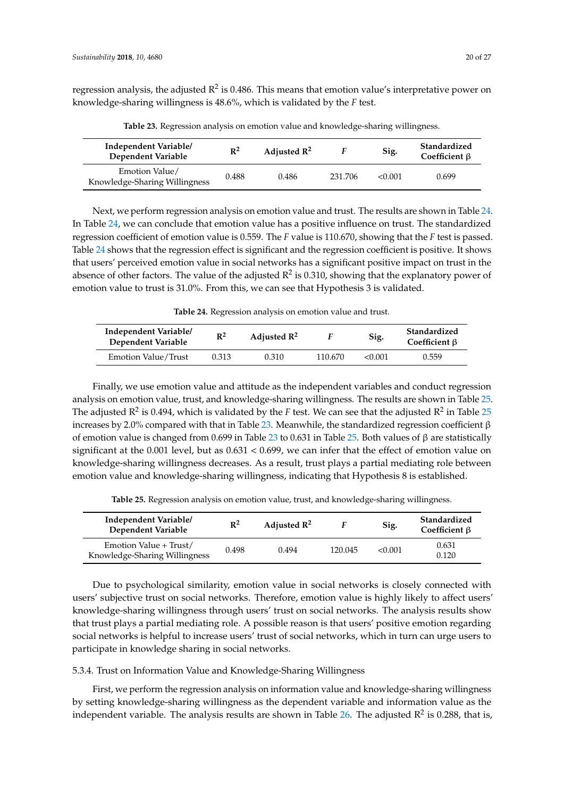regression analysis, the adjusted  $\mathbb{R}^2$  is 0.486. This means that emotion value's interpretative power on knowledge-sharing willingness is 48.6%, which is validated by the *F* test.

<span id="page-19-1"></span>

| Independent Variable/<br>Dependent Variable     | $\mathbb{R}^2$ | Adjusted $\mathbb{R}^2$ |         | Sig.    | Standardized<br>Coefficient $\beta$ |
|-------------------------------------------------|----------------|-------------------------|---------|---------|-------------------------------------|
| Emotion Value/<br>Knowledge-Sharing Willingness | 0.488          | 0.486                   | 231.706 | < 0.001 | 0.699                               |

**Table 23.** Regression analysis on emotion value and knowledge-sharing willingness.

Next, we perform regression analysis on emotion value and trust. The results are shown in Table [24.](#page-19-2) In Table [24,](#page-19-2) we can conclude that emotion value has a positive influence on trust. The standardized regression coefficient of emotion value is 0.559. The *F* value is 110.670, showing that the *F* test is passed. Table [24](#page-19-2) shows that the regression effect is significant and the regression coefficient is positive. It shows that users' perceived emotion value in social networks has a significant positive impact on trust in the absence of other factors. The value of the adjusted  $\mathbb{R}^2$  is 0.310, showing that the explanatory power of emotion value to trust is 31.0%. From this, we can see that Hypothesis 3 is validated.

**Table 24.** Regression analysis on emotion value and trust.

<span id="page-19-2"></span>

| Independent Variable/<br>Dependent Variable | $R^2$ | Adjusted $\mathbb{R}^2$ |         | Sig.    | Standardized<br>Coefficient B |
|---------------------------------------------|-------|-------------------------|---------|---------|-------------------------------|
| Emotion Value/Trust                         | 0.313 | 0.310                   | 110.670 | < 0.001 | 0.559                         |

Finally, we use emotion value and attitude as the independent variables and conduct regression analysis on emotion value, trust, and knowledge-sharing willingness. The results are shown in Table [25.](#page-19-3) The adjusted R<sup>2</sup> is 0.494, which is validated by the *F* test. We can see that the adjusted R<sup>2</sup> in Table [25](#page-19-3) increases by 2.0% compared with that in Table [23.](#page-19-1) Meanwhile, the standardized regression coefficient β of emotion value is changed from 0.699 in Table [23](#page-19-1) to 0.631 in Table [25.](#page-19-3) Both values of β are statistically significant at the 0.001 level, but as 0.631 < 0.699, we can infer that the effect of emotion value on knowledge-sharing willingness decreases. As a result, trust plays a partial mediating role between emotion value and knowledge-sharing willingness, indicating that Hypothesis 8 is established.

**Table 25.** Regression analysis on emotion value, trust, and knowledge-sharing willingness.

<span id="page-19-3"></span>

| Independent Variable/<br>Dependent Variable             | $\mathbb{R}^2$ | Adjusted $\mathbb{R}^2$ |         | Sig.    | Standardized<br>Coefficient $\beta$ |
|---------------------------------------------------------|----------------|-------------------------|---------|---------|-------------------------------------|
| Emotion Value + Trust/<br>Knowledge-Sharing Willingness | 0.498          | 0.494                   | 120.045 | < 0.001 | 0.631<br>0.120                      |

Due to psychological similarity, emotion value in social networks is closely connected with users' subjective trust on social networks. Therefore, emotion value is highly likely to affect users' knowledge-sharing willingness through users' trust on social networks. The analysis results show that trust plays a partial mediating role. A possible reason is that users' positive emotion regarding social networks is helpful to increase users' trust of social networks, which in turn can urge users to participate in knowledge sharing in social networks.

# <span id="page-19-0"></span>5.3.4. Trust on Information Value and Knowledge-Sharing Willingness

First, we perform the regression analysis on information value and knowledge-sharing willingness by setting knowledge-sharing willingness as the dependent variable and information value as the independent variable. The analysis results are shown in Table [26.](#page-20-1) The adjusted  $R^2$  is 0.288, that is,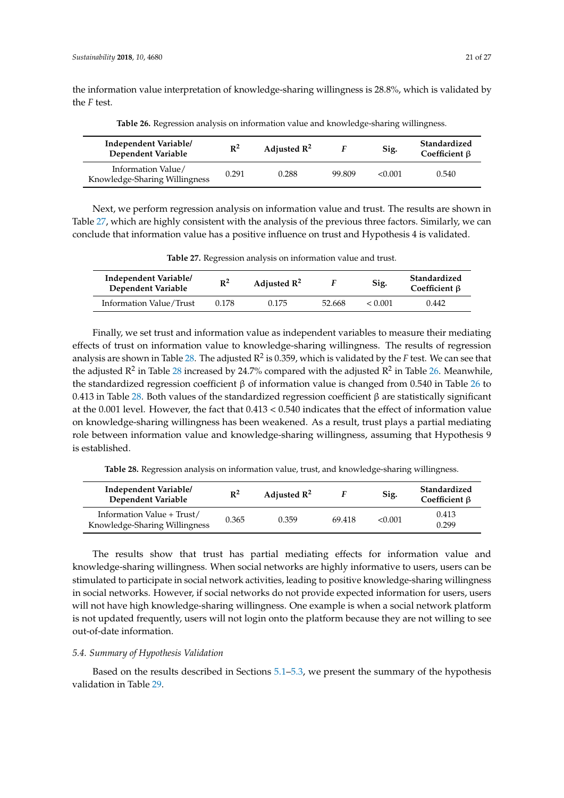the information value interpretation of knowledge-sharing willingness is 28.8%, which is validated by the *F* test.

<span id="page-20-1"></span>

| Independent Variable/<br>Dependent Variable         | $\mathbb{R}^2$ | Adjusted $\mathbb{R}^2$ |        | Sig.    | Standardized<br>Coefficient $\beta$ |
|-----------------------------------------------------|----------------|-------------------------|--------|---------|-------------------------------------|
| Information Value/<br>Knowledge-Sharing Willingness | 0.291          | 0.288                   | 99.809 | < 0.001 | 0.540                               |

**Table 26.** Regression analysis on information value and knowledge-sharing willingness.

Next, we perform regression analysis on information value and trust. The results are shown in Table [27,](#page-20-2) which are highly consistent with the analysis of the previous three factors. Similarly, we can conclude that information value has a positive influence on trust and Hypothesis 4 is validated.

<span id="page-20-2"></span>

| Independent Variable/<br>Dependent Variable | $R^2$ | Adjusted $\mathbb{R}^2$ |        | Sig.    | Standardized<br>Coefficient $\beta$ |
|---------------------------------------------|-------|-------------------------|--------|---------|-------------------------------------|
| Information Value/Trust                     | 0.178 | 0.175                   | 52.668 | < 0.001 | 0.442                               |

**Table 27.** Regression analysis on information value and trust.

Finally, we set trust and information value as independent variables to measure their mediating effects of trust on information value to knowledge-sharing willingness. The results of regression analysis are shown in Table [28.](#page-20-3) The adjusted R<sup>2</sup> is 0.359, which is validated by the F test. We can see that the adjusted  $\mathbb{R}^2$  in Table [28](#page-20-3) increased by 24.7% compared with the adjusted  $\mathbb{R}^2$  in Table [26.](#page-20-1) Meanwhile, the standardized regression coefficient β of information value is changed from 0.540 in Table [26](#page-20-1) to 0.413 in Table [28.](#page-20-3) Both values of the standardized regression coefficient β are statistically significant at the 0.001 level. However, the fact that 0.413 < 0.540 indicates that the effect of information value on knowledge-sharing willingness has been weakened. As a result, trust plays a partial mediating role between information value and knowledge-sharing willingness, assuming that Hypothesis 9 is established.

**Table 28.** Regression analysis on information value, trust, and knowledge-sharing willingness.

<span id="page-20-3"></span>

| Independent Variable/<br>Dependent Variable                 | $\mathbb{R}^2$ | Adjusted $\mathbb{R}^2$ |        | Sig.    | Standardized<br>Coefficient $\beta$ |
|-------------------------------------------------------------|----------------|-------------------------|--------|---------|-------------------------------------|
| Information Value + Trust/<br>Knowledge-Sharing Willingness | 0.365          | 0.359                   | 69.418 | < 0.001 | 0.413<br>0.299                      |

The results show that trust has partial mediating effects for information value and knowledge-sharing willingness. When social networks are highly informative to users, users can be stimulated to participate in social network activities, leading to positive knowledge-sharing willingness in social networks. However, if social networks do not provide expected information for users, users will not have high knowledge-sharing willingness. One example is when a social network platform is not updated frequently, users will not login onto the platform because they are not willing to see out-of-date information.

# <span id="page-20-0"></span>*5.4. Summary of Hypothesis Validation*

Based on the results described in Sections [5.1](#page-12-2)[–5.3,](#page-16-0) we present the summary of the hypothesis validation in Table [29.](#page-21-1)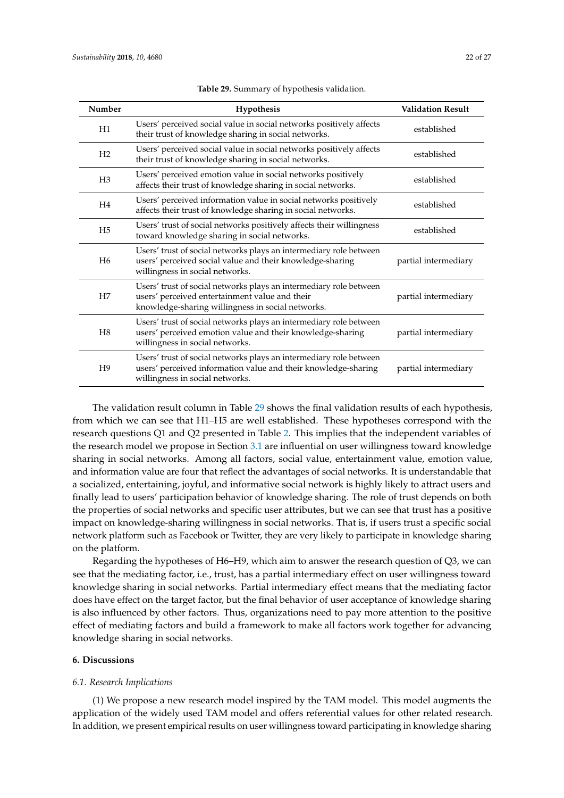<span id="page-21-1"></span>

| Number         | <b>Hypothesis</b>                                                                                                                                                         | <b>Validation Result</b> |
|----------------|---------------------------------------------------------------------------------------------------------------------------------------------------------------------------|--------------------------|
| H1             | Users' perceived social value in social networks positively affects<br>their trust of knowledge sharing in social networks.                                               | established              |
| H <sub>2</sub> | Users' perceived social value in social networks positively affects<br>their trust of knowledge sharing in social networks.                                               | established              |
| H <sub>3</sub> | Users' perceived emotion value in social networks positively<br>affects their trust of knowledge sharing in social networks.                                              | established              |
| H <sub>4</sub> | Users' perceived information value in social networks positively<br>affects their trust of knowledge sharing in social networks.                                          | established              |
| H <sub>5</sub> | Users' trust of social networks positively affects their willingness<br>toward knowledge sharing in social networks.                                                      | established              |
| H <sub>6</sub> | Users' trust of social networks plays an intermediary role between<br>users' perceived social value and their knowledge-sharing<br>willingness in social networks.        | partial intermediary     |
| H7             | Users' trust of social networks plays an intermediary role between<br>users' perceived entertainment value and their<br>knowledge-sharing willingness in social networks. | partial intermediary     |
| H8             | Users' trust of social networks plays an intermediary role between<br>users' perceived emotion value and their knowledge-sharing<br>willingness in social networks.       | partial intermediary     |
| H <sup>9</sup> | Users' trust of social networks plays an intermediary role between<br>users' perceived information value and their knowledge-sharing<br>willingness in social networks.   | partial intermediary     |

|  | Table 29. Summary of hypothesis validation. |  |  |
|--|---------------------------------------------|--|--|
|--|---------------------------------------------|--|--|

The validation result column in Table [29](#page-21-1) shows the final validation results of each hypothesis, from which we can see that H1–H5 are well established. These hypotheses correspond with the research questions Q1 and Q2 presented in Table [2.](#page-7-0) This implies that the independent variables of the research model we propose in Section [3.1](#page-5-1) are influential on user willingness toward knowledge sharing in social networks. Among all factors, social value, entertainment value, emotion value, and information value are four that reflect the advantages of social networks. It is understandable that a socialized, entertaining, joyful, and informative social network is highly likely to attract users and finally lead to users' participation behavior of knowledge sharing. The role of trust depends on both the properties of social networks and specific user attributes, but we can see that trust has a positive impact on knowledge-sharing willingness in social networks. That is, if users trust a specific social network platform such as Facebook or Twitter, they are very likely to participate in knowledge sharing on the platform.

Regarding the hypotheses of H6–H9, which aim to answer the research question of Q3, we can see that the mediating factor, i.e., trust, has a partial intermediary effect on user willingness toward knowledge sharing in social networks. Partial intermediary effect means that the mediating factor does have effect on the target factor, but the final behavior of user acceptance of knowledge sharing is also influenced by other factors. Thus, organizations need to pay more attention to the positive effect of mediating factors and build a framework to make all factors work together for advancing knowledge sharing in social networks.

# <span id="page-21-0"></span>**6. Discussions**

#### *6.1. Research Implications*

(1) We propose a new research model inspired by the TAM model. This model augments the application of the widely used TAM model and offers referential values for other related research. In addition, we present empirical results on user willingness toward participating in knowledge sharing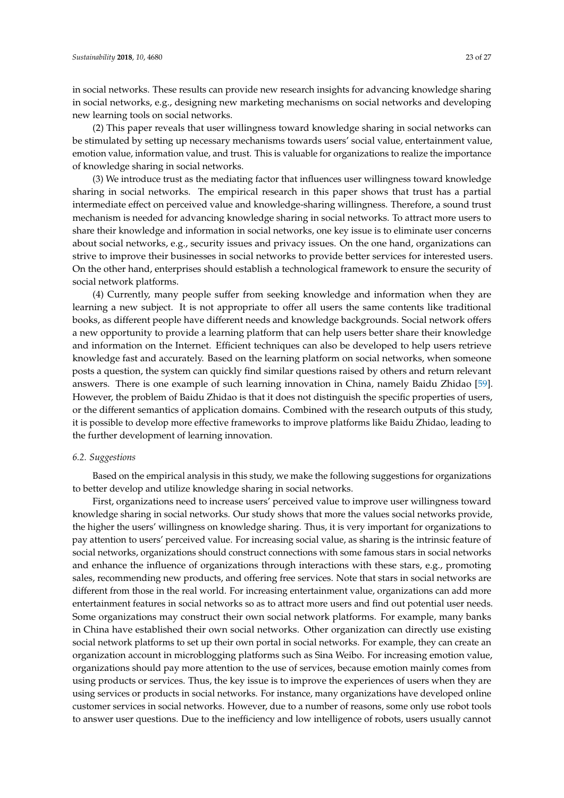in social networks. These results can provide new research insights for advancing knowledge sharing in social networks, e.g., designing new marketing mechanisms on social networks and developing new learning tools on social networks.

(2) This paper reveals that user willingness toward knowledge sharing in social networks can be stimulated by setting up necessary mechanisms towards users' social value, entertainment value, emotion value, information value, and trust. This is valuable for organizations to realize the importance of knowledge sharing in social networks.

(3) We introduce trust as the mediating factor that influences user willingness toward knowledge sharing in social networks. The empirical research in this paper shows that trust has a partial intermediate effect on perceived value and knowledge-sharing willingness. Therefore, a sound trust mechanism is needed for advancing knowledge sharing in social networks. To attract more users to share their knowledge and information in social networks, one key issue is to eliminate user concerns about social networks, e.g., security issues and privacy issues. On the one hand, organizations can strive to improve their businesses in social networks to provide better services for interested users. On the other hand, enterprises should establish a technological framework to ensure the security of social network platforms.

(4) Currently, many people suffer from seeking knowledge and information when they are learning a new subject. It is not appropriate to offer all users the same contents like traditional books, as different people have different needs and knowledge backgrounds. Social network offers a new opportunity to provide a learning platform that can help users better share their knowledge and information on the Internet. Efficient techniques can also be developed to help users retrieve knowledge fast and accurately. Based on the learning platform on social networks, when someone posts a question, the system can quickly find similar questions raised by others and return relevant answers. There is one example of such learning innovation in China, namely Baidu Zhidao [\[59\]](#page-26-21). However, the problem of Baidu Zhidao is that it does not distinguish the specific properties of users, or the different semantics of application domains. Combined with the research outputs of this study, it is possible to develop more effective frameworks to improve platforms like Baidu Zhidao, leading to the further development of learning innovation.

# *6.2. Suggestions*

Based on the empirical analysis in this study, we make the following suggestions for organizations to better develop and utilize knowledge sharing in social networks.

First, organizations need to increase users' perceived value to improve user willingness toward knowledge sharing in social networks. Our study shows that more the values social networks provide, the higher the users' willingness on knowledge sharing. Thus, it is very important for organizations to pay attention to users' perceived value. For increasing social value, as sharing is the intrinsic feature of social networks, organizations should construct connections with some famous stars in social networks and enhance the influence of organizations through interactions with these stars, e.g., promoting sales, recommending new products, and offering free services. Note that stars in social networks are different from those in the real world. For increasing entertainment value, organizations can add more entertainment features in social networks so as to attract more users and find out potential user needs. Some organizations may construct their own social network platforms. For example, many banks in China have established their own social networks. Other organization can directly use existing social network platforms to set up their own portal in social networks. For example, they can create an organization account in microblogging platforms such as Sina Weibo. For increasing emotion value, organizations should pay more attention to the use of services, because emotion mainly comes from using products or services. Thus, the key issue is to improve the experiences of users when they are using services or products in social networks. For instance, many organizations have developed online customer services in social networks. However, due to a number of reasons, some only use robot tools to answer user questions. Due to the inefficiency and low intelligence of robots, users usually cannot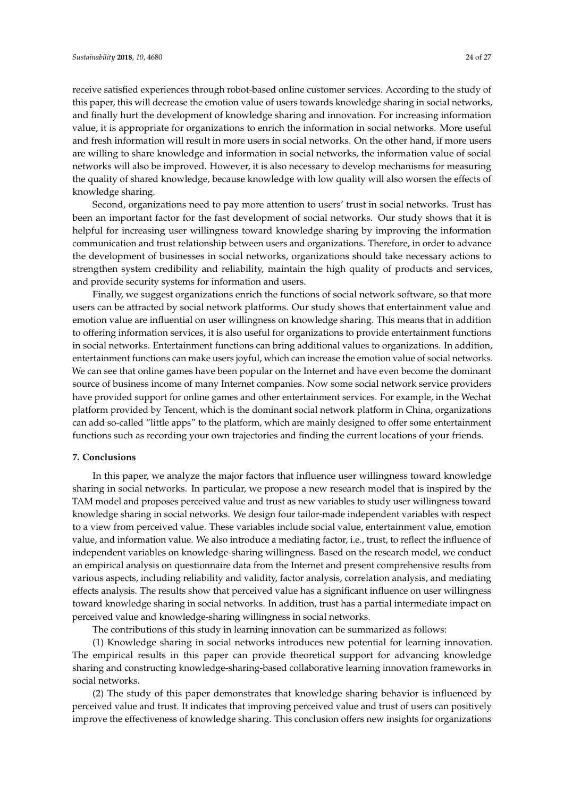receive satisfied experiences through robot-based online customer services. According to the study of this paper, this will decrease the emotion value of users towards knowledge sharing in social networks, and finally hurt the development of knowledge sharing and innovation. For increasing information value, it is appropriate for organizations to enrich the information in social networks. More useful and fresh information will result in more users in social networks. On the other hand, if more users are willing to share knowledge and information in social networks, the information value of social networks will also be improved. However, it is also necessary to develop mechanisms for measuring the quality of shared knowledge, because knowledge with low quality will also worsen the effects of knowledge sharing.

Second, organizations need to pay more attention to users' trust in social networks. Trust has been an important factor for the fast development of social networks. Our study shows that it is helpful for increasing user willingness toward knowledge sharing by improving the information communication and trust relationship between users and organizations. Therefore, in order to advance the development of businesses in social networks, organizations should take necessary actions to strengthen system credibility and reliability, maintain the high quality of products and services, and provide security systems for information and users.

Finally, we suggest organizations enrich the functions of social network software, so that more users can be attracted by social network platforms. Our study shows that entertainment value and emotion value are influential on user willingness on knowledge sharing. This means that in addition to offering information services, it is also useful for organizations to provide entertainment functions in social networks. Entertainment functions can bring additional values to organizations. In addition, entertainment functions can make users joyful, which can increase the emotion value of social networks. We can see that online games have been popular on the Internet and have even become the dominant source of business income of many Internet companies. Now some social network service providers have provided support for online games and other entertainment services. For example, in the Wechat platform provided by Tencent, which is the dominant social network platform in China, organizations can add so-called "little apps" to the platform, which are mainly designed to offer some entertainment functions such as recording your own trajectories and finding the current locations of your friends.

### <span id="page-23-0"></span>**7. Conclusions**

In this paper, we analyze the major factors that influence user willingness toward knowledge sharing in social networks. In particular, we propose a new research model that is inspired by the TAM model and proposes perceived value and trust as new variables to study user willingness toward knowledge sharing in social networks. We design four tailor-made independent variables with respect to a view from perceived value. These variables include social value, entertainment value, emotion value, and information value. We also introduce a mediating factor, i.e., trust, to reflect the influence of independent variables on knowledge-sharing willingness. Based on the research model, we conduct an empirical analysis on questionnaire data from the Internet and present comprehensive results from various aspects, including reliability and validity, factor analysis, correlation analysis, and mediating effects analysis. The results show that perceived value has a significant influence on user willingness toward knowledge sharing in social networks. In addition, trust has a partial intermediate impact on perceived value and knowledge-sharing willingness in social networks.

The contributions of this study in learning innovation can be summarized as follows:

(1) Knowledge sharing in social networks introduces new potential for learning innovation. The empirical results in this paper can provide theoretical support for advancing knowledge sharing and constructing knowledge-sharing-based collaborative learning innovation frameworks in social networks.

(2) The study of this paper demonstrates that knowledge sharing behavior is influenced by perceived value and trust. It indicates that improving perceived value and trust of users can positively improve the effectiveness of knowledge sharing. This conclusion offers new insights for organizations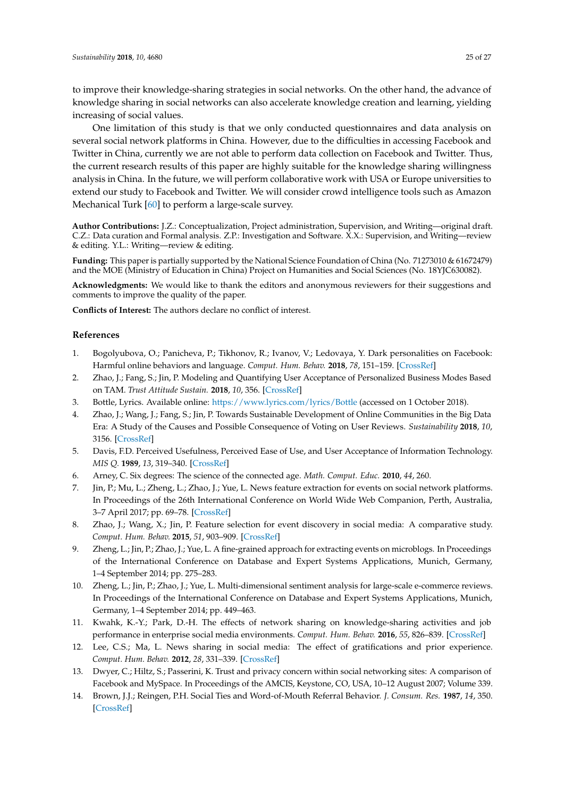One limitation of this study is that we only conducted questionnaires and data analysis on several social network platforms in China. However, due to the difficulties in accessing Facebook and Twitter in China, currently we are not able to perform data collection on Facebook and Twitter. Thus, the current research results of this paper are highly suitable for the knowledge sharing willingness analysis in China. In the future, we will perform collaborative work with USA or Europe universities to extend our study to Facebook and Twitter. We will consider crowd intelligence tools such as Amazon Mechanical Turk [\[60\]](#page-26-22) to perform a large-scale survey.

**Author Contributions:** J.Z.: Conceptualization, Project administration, Supervision, and Writing—original draft. C.Z.: Data curation and Formal analysis. Z.P.: Investigation and Software. X.X.: Supervision, and Writing—review & editing. Y.L.: Writing—review & editing.

**Funding:** This paper is partially supported by the National Science Foundation of China (No. 71273010 & 61672479) and the MOE (Ministry of Education in China) Project on Humanities and Social Sciences (No. 18YJC630082).

**Acknowledgments:** We would like to thank the editors and anonymous reviewers for their suggestions and comments to improve the quality of the paper.

**Conflicts of Interest:** The authors declare no conflict of interest.

# **References**

- <span id="page-24-0"></span>1. Bogolyubova, O.; Panicheva, P.; Tikhonov, R.; Ivanov, V.; Ledovaya, Y. Dark personalities on Facebook: Harmful online behaviors and language. *Comput. Hum. Behav.* **2018**, *78*, 151–159. [\[CrossRef\]](http://dx.doi.org/10.1016/j.chb.2017.09.032)
- <span id="page-24-1"></span>2. Zhao, J.; Fang, S.; Jin, P. Modeling and Quantifying User Acceptance of Personalized Business Modes Based on TAM. *Trust Attitude Sustain.* **2018**, *10*, 356. [\[CrossRef\]](http://dx.doi.org/10.3390/su10020356)
- <span id="page-24-2"></span>3. Bottle, Lyrics. Available online: <https://www.lyrics.com/lyrics/Bottle> (accessed on 1 October 2018).
- <span id="page-24-3"></span>4. Zhao, J.; Wang, J.; Fang, S.; Jin, P. Towards Sustainable Development of Online Communities in the Big Data Era: A Study of the Causes and Possible Consequence of Voting on User Reviews. *Sustainability* **2018**, *10*, 3156. [\[CrossRef\]](http://dx.doi.org/10.3390/su10093156)
- <span id="page-24-4"></span>5. Davis, F.D. Perceived Usefulness, Perceived Ease of Use, and User Acceptance of Information Technology. *MIS Q.* **1989**, *13*, 319–340. [\[CrossRef\]](http://dx.doi.org/10.2307/249008)
- <span id="page-24-5"></span>6. Arney, C. Six degrees: The science of the connected age. *Math. Comput. Educ.* **2010**, *44*, 260.
- <span id="page-24-6"></span>7. Jin, P.; Mu, L.; Zheng, L.; Zhao, J.; Yue, L. News feature extraction for events on social network platforms. In Proceedings of the 26th International Conference on World Wide Web Companion, Perth, Australia, 3–7 April 2017; pp. 69–78. [\[CrossRef\]](http://dx.doi.org/10.1145/3041021.3054151)
- <span id="page-24-7"></span>8. Zhao, J.; Wang, X.; Jin, P. Feature selection for event discovery in social media: A comparative study. *Comput. Hum. Behav.* **2015**, *51*, 903–909. [\[CrossRef\]](http://dx.doi.org/10.1016/j.chb.2014.11.007)
- <span id="page-24-8"></span>9. Zheng, L.; Jin, P.; Zhao, J.; Yue, L. A fine-grained approach for extracting events on microblogs. In Proceedings of the International Conference on Database and Expert Systems Applications, Munich, Germany, 1–4 September 2014; pp. 275–283.
- <span id="page-24-9"></span>10. Zheng, L.; Jin, P.; Zhao, J.; Yue, L. Multi-dimensional sentiment analysis for large-scale e-commerce reviews. In Proceedings of the International Conference on Database and Expert Systems Applications, Munich, Germany, 1–4 September 2014; pp. 449–463.
- <span id="page-24-10"></span>11. Kwahk, K.-Y.; Park, D.-H. The effects of network sharing on knowledge-sharing activities and job performance in enterprise social media environments. *Comput. Hum. Behav.* **2016**, *55*, 826–839. [\[CrossRef\]](http://dx.doi.org/10.1016/j.chb.2015.09.044)
- <span id="page-24-11"></span>12. Lee, C.S.; Ma, L. News sharing in social media: The effect of gratifications and prior experience. *Comput. Hum. Behav.* **2012**, *28*, 331–339. [\[CrossRef\]](http://dx.doi.org/10.1016/j.chb.2011.10.002)
- <span id="page-24-12"></span>13. Dwyer, C.; Hiltz, S.; Passerini, K. Trust and privacy concern within social networking sites: A comparison of Facebook and MySpace. In Proceedings of the AMCIS, Keystone, CO, USA, 10–12 August 2007; Volume 339.
- <span id="page-24-13"></span>14. Brown, J.J.; Reingen, P.H. Social Ties and Word-of-Mouth Referral Behavior. *J. Consum. Res.* **1987**, *14*, 350. [\[CrossRef\]](http://dx.doi.org/10.1086/209118)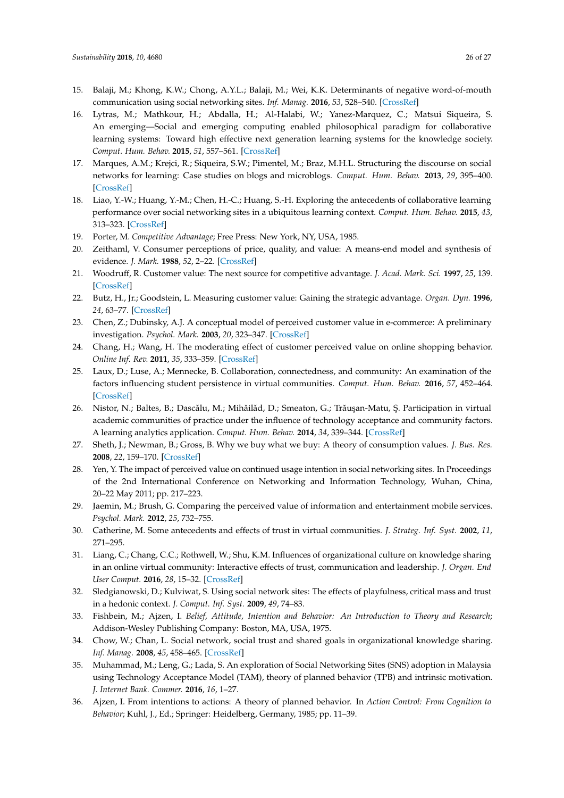- <span id="page-25-0"></span>15. Balaji, M.; Khong, K.W.; Chong, A.Y.L.; Balaji, M.; Wei, K.K. Determinants of negative word-of-mouth communication using social networking sites. *Inf. Manag.* **2016**, *53*, 528–540. [\[CrossRef\]](http://dx.doi.org/10.1016/j.im.2015.12.002)
- <span id="page-25-1"></span>16. Lytras, M.; Mathkour, H.; Abdalla, H.; Al-Halabi, W.; Yanez-Marquez, C.; Matsui Siqueira, S. An emerging—Social and emerging computing enabled philosophical paradigm for collaborative learning systems: Toward high effective next generation learning systems for the knowledge society. *Comput. Hum. Behav.* **2015**, *51*, 557–561. [\[CrossRef\]](http://dx.doi.org/10.1016/j.chb.2015.06.004)
- <span id="page-25-2"></span>17. Marques, A.M.; Krejci, R.; Siqueira, S.W.; Pimentel, M.; Braz, M.H.L. Structuring the discourse on social networks for learning: Case studies on blogs and microblogs. *Comput. Hum. Behav.* **2013**, *29*, 395–400. [\[CrossRef\]](http://dx.doi.org/10.1016/j.chb.2012.03.001)
- <span id="page-25-3"></span>18. Liao, Y.-W.; Huang, Y.-M.; Chen, H.-C.; Huang, S.-H. Exploring the antecedents of collaborative learning performance over social networking sites in a ubiquitous learning context. *Comput. Hum. Behav.* **2015**, *43*, 313–323. [\[CrossRef\]](http://dx.doi.org/10.1016/j.chb.2014.10.028)
- <span id="page-25-4"></span>19. Porter, M. *Competitive Advantage*; Free Press: New York, NY, USA, 1985.
- <span id="page-25-5"></span>20. Zeithaml, V. Consumer perceptions of price, quality, and value: A means-end model and synthesis of evidence. *J. Mark.* **1988**, *52*, 2–22. [\[CrossRef\]](http://dx.doi.org/10.1177/002224298805200302)
- <span id="page-25-6"></span>21. Woodruff, R. Customer value: The next source for competitive advantage. *J. Acad. Mark. Sci.* **1997**, *25*, 139. [\[CrossRef\]](http://dx.doi.org/10.1007/BF02894350)
- <span id="page-25-7"></span>22. Butz, H., Jr.; Goodstein, L. Measuring customer value: Gaining the strategic advantage. *Organ. Dyn.* **1996**, *24*, 63–77. [\[CrossRef\]](http://dx.doi.org/10.1016/S0090-2616(96)90006-6)
- <span id="page-25-8"></span>23. Chen, Z.; Dubinsky, A.J. A conceptual model of perceived customer value in e-commerce: A preliminary investigation. *Psychol. Mark.* **2003**, *20*, 323–347. [\[CrossRef\]](http://dx.doi.org/10.1002/mar.10076)
- <span id="page-25-9"></span>24. Chang, H.; Wang, H. The moderating effect of customer perceived value on online shopping behavior. *Online Inf. Rev.* **2011**, *35*, 333–359. [\[CrossRef\]](http://dx.doi.org/10.1108/14684521111151414)
- <span id="page-25-10"></span>25. Laux, D.; Luse, A.; Mennecke, B. Collaboration, connectedness, and community: An examination of the factors influencing student persistence in virtual communities. *Comput. Hum. Behav.* **2016**, *57*, 452–464. [\[CrossRef\]](http://dx.doi.org/10.1016/j.chb.2015.12.046)
- <span id="page-25-11"></span>26. Nistor, N.; Baltes, B.; Dascălu, M.; Mihăilăd, D.; Smeaton, G.; Trăușan-Matu, Ş. Participation in virtual academic communities of practice under the influence of technology acceptance and community factors. A learning analytics application. *Comput. Hum. Behav.* **2014**, *34*, 339–344. [\[CrossRef\]](http://dx.doi.org/10.1016/j.chb.2013.10.051)
- <span id="page-25-12"></span>27. Sheth, J.; Newman, B.; Gross, B. Why we buy what we buy: A theory of consumption values. *J. Bus. Res.* **2008**, *22*, 159–170. [\[CrossRef\]](http://dx.doi.org/10.1016/0148-2963(91)90050-8)
- <span id="page-25-13"></span>28. Yen, Y. The impact of perceived value on continued usage intention in social networking sites. In Proceedings of the 2nd International Conference on Networking and Information Technology, Wuhan, China, 20–22 May 2011; pp. 217–223.
- <span id="page-25-14"></span>29. Jaemin, M.; Brush, G. Comparing the perceived value of information and entertainment mobile services. *Psychol. Mark.* **2012**, *25*, 732–755.
- <span id="page-25-15"></span>30. Catherine, M. Some antecedents and effects of trust in virtual communities. *J. Strateg. Inf. Syst.* **2002**, *11*, 271–295.
- <span id="page-25-17"></span>31. Liang, C.; Chang, C.C.; Rothwell, W.; Shu, K.M. Influences of organizational culture on knowledge sharing in an online virtual community: Interactive effects of trust, communication and leadership. *J. Organ. End User Comput.* **2016**, *28*, 15–32. [\[CrossRef\]](http://dx.doi.org/10.4018/JOEUC.2016100102)
- <span id="page-25-16"></span>32. Sledgianowski, D.; Kulviwat, S. Using social network sites: The effects of playfulness, critical mass and trust in a hedonic context. *J. Comput. Inf. Syst.* **2009**, *49*, 74–83.
- <span id="page-25-18"></span>33. Fishbein, M.; Ajzen, I. *Belief, Attitude, Intention and Behavior: An Introduction to Theory and Research*; Addison-Wesley Publishing Company: Boston, MA, USA, 1975.
- <span id="page-25-19"></span>34. Chow, W.; Chan, L. Social network, social trust and shared goals in organizational knowledge sharing. *Inf. Manag.* **2008**, *45*, 458–465. [\[CrossRef\]](http://dx.doi.org/10.1016/j.im.2008.06.007)
- <span id="page-25-20"></span>35. Muhammad, M.; Leng, G.; Lada, S. An exploration of Social Networking Sites (SNS) adoption in Malaysia using Technology Acceptance Model (TAM), theory of planned behavior (TPB) and intrinsic motivation. *J. Internet Bank. Commer.* **2016**, *16*, 1–27.
- <span id="page-25-21"></span>36. Ajzen, I. From intentions to actions: A theory of planned behavior. In *Action Control: From Cognition to Behavior*; Kuhl, J., Ed.; Springer: Heidelberg, Germany, 1985; pp. 11–39.